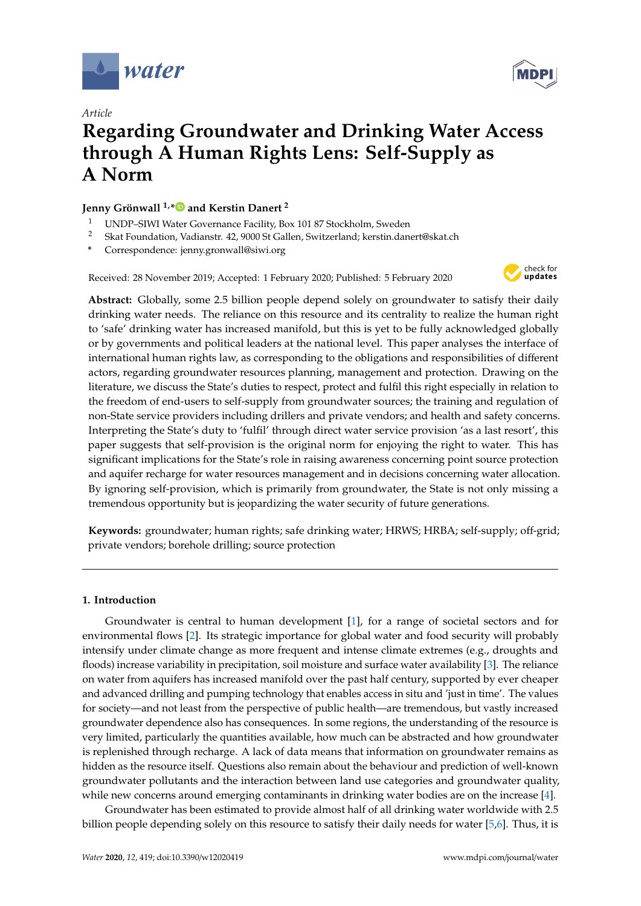



# **Regarding Groundwater and Drinking Water Access through A Human Rights Lens: Self-Supply as A Norm**

# **Jenny Grönwall 1,[\\*](https://orcid.org/0000-0002-8189-803X) and Kerstin Danert <sup>2</sup>**

- 1 UNDP–SIWI Water Governance Facility, Box 101 87 Stockholm, Sweden<br>2 Skot Foundation, Vedisnetz, 42, 0000 St. Callon, Switzerland kenstin dan
- <sup>2</sup> Skat Foundation, Vadianstr. 42, 9000 St Gallen, Switzerland; kerstin.danert@skat.ch
- **\*** Correspondence: jenny.gronwall@siwi.org

Received: 28 November 2019; Accepted: 1 February 2020; Published: 5 February 2020



**Abstract:** Globally, some 2.5 billion people depend solely on groundwater to satisfy their daily drinking water needs. The reliance on this resource and its centrality to realize the human right to 'safe' drinking water has increased manifold, but this is yet to be fully acknowledged globally or by governments and political leaders at the national level. This paper analyses the interface of international human rights law, as corresponding to the obligations and responsibilities of different actors, regarding groundwater resources planning, management and protection. Drawing on the literature, we discuss the State's duties to respect, protect and fulfil this right especially in relation to the freedom of end-users to self-supply from groundwater sources; the training and regulation of non-State service providers including drillers and private vendors; and health and safety concerns. Interpreting the State's duty to 'fulfil' through direct water service provision 'as a last resort', this paper suggests that self-provision is the original norm for enjoying the right to water. This has significant implications for the State's role in raising awareness concerning point source protection and aquifer recharge for water resources management and in decisions concerning water allocation. By ignoring self-provision, which is primarily from groundwater, the State is not only missing a tremendous opportunity but is jeopardizing the water security of future generations.

**Keywords:** groundwater; human rights; safe drinking water; HRWS; HRBA; self-supply; off-grid; private vendors; borehole drilling; source protection

## **1. Introduction**

Groundwater is central to human development [\[1\]](#page-16-0), for a range of societal sectors and for environmental flows [\[2\]](#page-16-1). Its strategic importance for global water and food security will probably intensify under climate change as more frequent and intense climate extremes (e.g., droughts and floods) increase variability in precipitation, soil moisture and surface water availability [\[3\]](#page-16-2). The reliance on water from aquifers has increased manifold over the past half century, supported by ever cheaper and advanced drilling and pumping technology that enables access in situ and 'just in time'. The values for society—and not least from the perspective of public health—are tremendous, but vastly increased groundwater dependence also has consequences. In some regions, the understanding of the resource is very limited, particularly the quantities available, how much can be abstracted and how groundwater is replenished through recharge. A lack of data means that information on groundwater remains as hidden as the resource itself. Questions also remain about the behaviour and prediction of well-known groundwater pollutants and the interaction between land use categories and groundwater quality, while new concerns around emerging contaminants in drinking water bodies are on the increase [\[4\]](#page-16-3).

Groundwater has been estimated to provide almost half of all drinking water worldwide with 2.5 billion people depending solely on this resource to satisfy their daily needs for water [\[5,](#page-16-4)[6\]](#page-16-5). Thus, it is

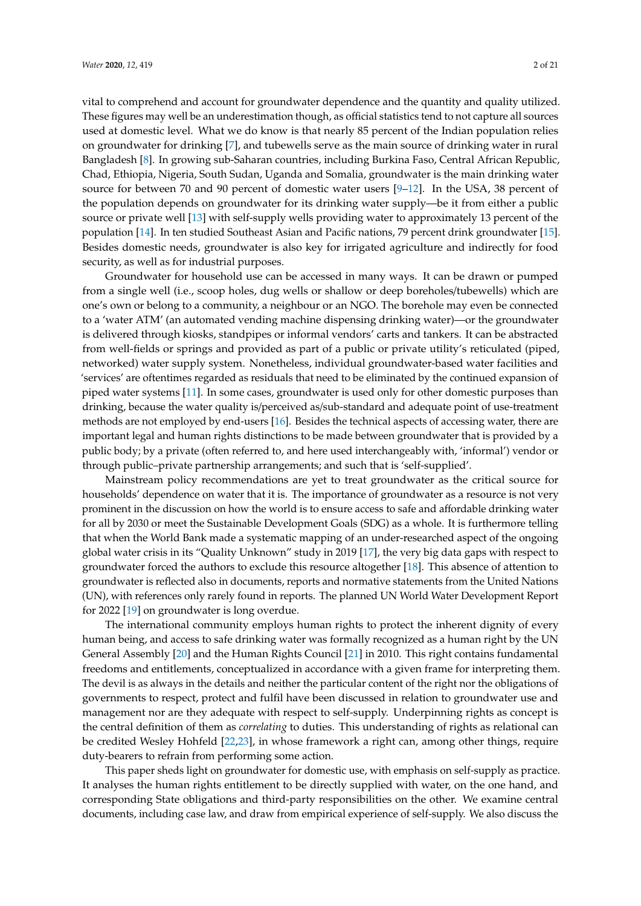vital to comprehend and account for groundwater dependence and the quantity and quality utilized. These figures may well be an underestimation though, as official statistics tend to not capture all sources used at domestic level. What we do know is that nearly 85 percent of the Indian population relies on groundwater for drinking [\[7\]](#page-16-6), and tubewells serve as the main source of drinking water in rural Bangladesh [\[8\]](#page-16-7). In growing sub-Saharan countries, including Burkina Faso, Central African Republic, Chad, Ethiopia, Nigeria, South Sudan, Uganda and Somalia, groundwater is the main drinking water source for between 70 and 90 percent of domestic water users [\[9–](#page-16-8)[12\]](#page-17-0). In the USA, 38 percent of the population depends on groundwater for its drinking water supply—be it from either a public source or private well [\[13\]](#page-17-1) with self-supply wells providing water to approximately 13 percent of the population [\[14\]](#page-17-2). In ten studied Southeast Asian and Pacific nations, 79 percent drink groundwater [\[15\]](#page-17-3). Besides domestic needs, groundwater is also key for irrigated agriculture and indirectly for food security, as well as for industrial purposes.

Groundwater for household use can be accessed in many ways. It can be drawn or pumped from a single well (i.e., scoop holes, dug wells or shallow or deep boreholes/tubewells) which are one's own or belong to a community, a neighbour or an NGO. The borehole may even be connected to a 'water ATM' (an automated vending machine dispensing drinking water)—or the groundwater is delivered through kiosks, standpipes or informal vendors' carts and tankers. It can be abstracted from well-fields or springs and provided as part of a public or private utility's reticulated (piped, networked) water supply system. Nonetheless, individual groundwater-based water facilities and 'services' are oftentimes regarded as residuals that need to be eliminated by the continued expansion of piped water systems [\[11\]](#page-16-9). In some cases, groundwater is used only for other domestic purposes than drinking, because the water quality is/perceived as/sub-standard and adequate point of use-treatment methods are not employed by end-users [\[16\]](#page-17-4). Besides the technical aspects of accessing water, there are important legal and human rights distinctions to be made between groundwater that is provided by a public body; by a private (often referred to, and here used interchangeably with, 'informal') vendor or through public–private partnership arrangements; and such that is 'self-supplied'.

Mainstream policy recommendations are yet to treat groundwater as the critical source for households' dependence on water that it is. The importance of groundwater as a resource is not very prominent in the discussion on how the world is to ensure access to safe and affordable drinking water for all by 2030 or meet the Sustainable Development Goals (SDG) as a whole. It is furthermore telling that when the World Bank made a systematic mapping of an under-researched aspect of the ongoing global water crisis in its "Quality Unknown" study in 2019 [\[17\]](#page-17-5), the very big data gaps with respect to groundwater forced the authors to exclude this resource altogether [\[18\]](#page-17-6). This absence of attention to groundwater is reflected also in documents, reports and normative statements from the United Nations (UN), with references only rarely found in reports. The planned UN World Water Development Report for 2022 [\[19\]](#page-17-7) on groundwater is long overdue.

The international community employs human rights to protect the inherent dignity of every human being, and access to safe drinking water was formally recognized as a human right by the UN General Assembly [\[20\]](#page-17-8) and the Human Rights Council [\[21\]](#page-17-9) in 2010. This right contains fundamental freedoms and entitlements, conceptualized in accordance with a given frame for interpreting them. The devil is as always in the details and neither the particular content of the right nor the obligations of governments to respect, protect and fulfil have been discussed in relation to groundwater use and management nor are they adequate with respect to self-supply. Underpinning rights as concept is the central definition of them as *correlating* to duties. This understanding of rights as relational can be credited Wesley Hohfeld [\[22,](#page-17-10)[23\]](#page-17-11), in whose framework a right can, among other things, require duty-bearers to refrain from performing some action.

This paper sheds light on groundwater for domestic use, with emphasis on self-supply as practice. It analyses the human rights entitlement to be directly supplied with water, on the one hand, and corresponding State obligations and third-party responsibilities on the other. We examine central documents, including case law, and draw from empirical experience of self-supply. We also discuss the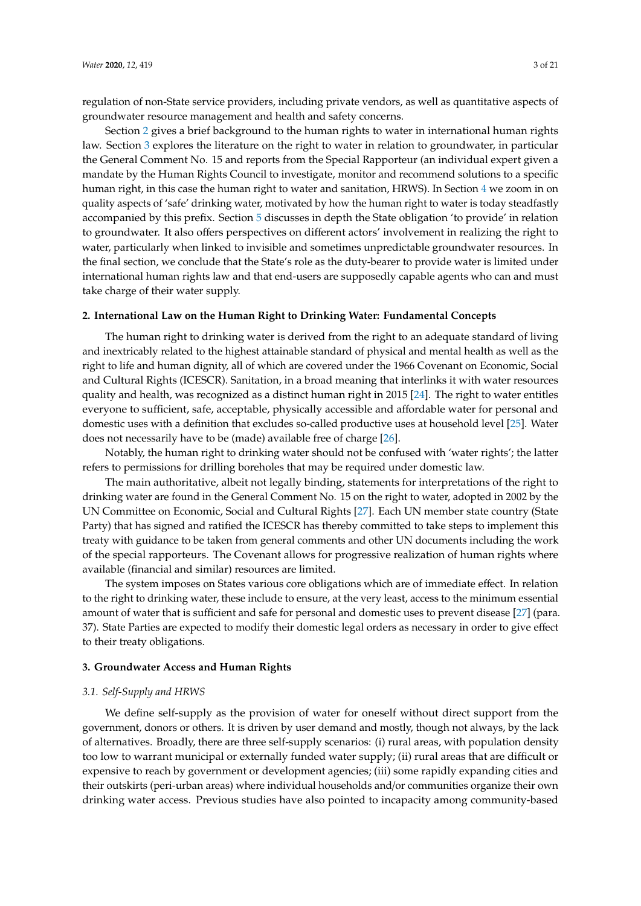regulation of non-State service providers, including private vendors, as well as quantitative aspects of groundwater resource management and health and safety concerns.

Section [2](#page-2-0) gives a brief background to the human rights to water in international human rights law. Section [3](#page-2-1) explores the literature on the right to water in relation to groundwater, in particular the General Comment No. 15 and reports from the Special Rapporteur (an individual expert given a mandate by the Human Rights Council to investigate, monitor and recommend solutions to a specific human right, in this case the human right to water and sanitation, HRWS). In Section [4](#page-8-0) we zoom in on quality aspects of 'safe' drinking water, motivated by how the human right to water is today steadfastly accompanied by this prefix. Section [5](#page-10-0) discusses in depth the State obligation 'to provide' in relation to groundwater. It also offers perspectives on different actors' involvement in realizing the right to water, particularly when linked to invisible and sometimes unpredictable groundwater resources. In the final section, we conclude that the State's role as the duty-bearer to provide water is limited under international human rights law and that end-users are supposedly capable agents who can and must take charge of their water supply.

## <span id="page-2-0"></span>**2. International Law on the Human Right to Drinking Water: Fundamental Concepts**

The human right to drinking water is derived from the right to an adequate standard of living and inextricably related to the highest attainable standard of physical and mental health as well as the right to life and human dignity, all of which are covered under the 1966 Covenant on Economic, Social and Cultural Rights (ICESCR). Sanitation, in a broad meaning that interlinks it with water resources quality and health, was recognized as a distinct human right in 2015 [\[24\]](#page-17-12). The right to water entitles everyone to sufficient, safe, acceptable, physically accessible and affordable water for personal and domestic uses with a definition that excludes so-called productive uses at household level [\[25\]](#page-17-13). Water does not necessarily have to be (made) available free of charge [\[26\]](#page-17-14).

Notably, the human right to drinking water should not be confused with 'water rights'; the latter refers to permissions for drilling boreholes that may be required under domestic law.

The main authoritative, albeit not legally binding, statements for interpretations of the right to drinking water are found in the General Comment No. 15 on the right to water, adopted in 2002 by the UN Committee on Economic, Social and Cultural Rights [\[27\]](#page-17-15). Each UN member state country (State Party) that has signed and ratified the ICESCR has thereby committed to take steps to implement this treaty with guidance to be taken from general comments and other UN documents including the work of the special rapporteurs. The Covenant allows for progressive realization of human rights where available (financial and similar) resources are limited.

The system imposes on States various core obligations which are of immediate effect. In relation to the right to drinking water, these include to ensure, at the very least, access to the minimum essential amount of water that is sufficient and safe for personal and domestic uses to prevent disease [\[27\]](#page-17-15) (para. 37). State Parties are expected to modify their domestic legal orders as necessary in order to give effect to their treaty obligations.

## <span id="page-2-1"></span>**3. Groundwater Access and Human Rights**

#### *3.1. Self-Supply and HRWS*

We define self-supply as the provision of water for oneself without direct support from the government, donors or others. It is driven by user demand and mostly, though not always, by the lack of alternatives. Broadly, there are three self-supply scenarios: (i) rural areas, with population density too low to warrant municipal or externally funded water supply; (ii) rural areas that are difficult or expensive to reach by government or development agencies; (iii) some rapidly expanding cities and their outskirts (peri-urban areas) where individual households and/or communities organize their own drinking water access. Previous studies have also pointed to incapacity among community-based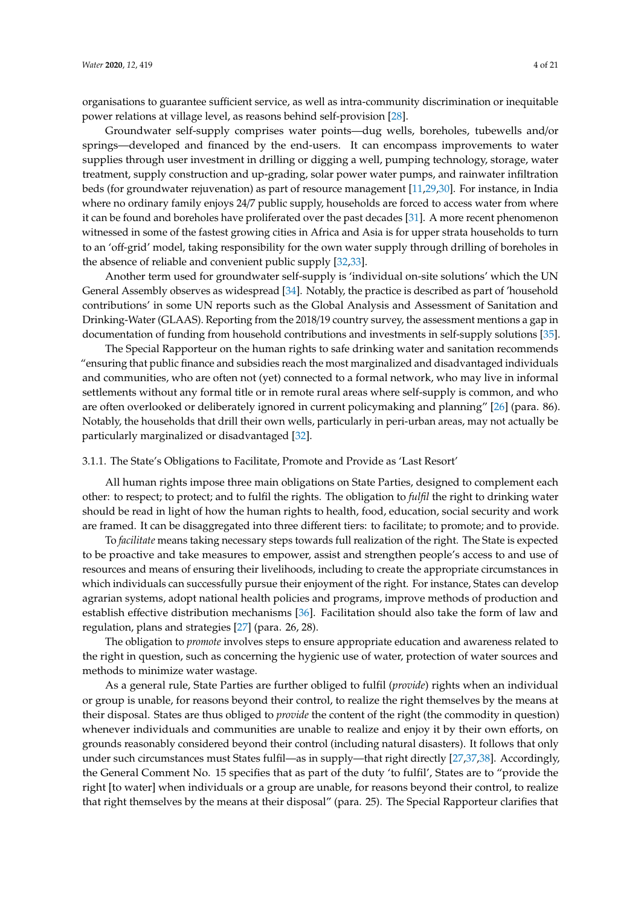organisations to guarantee sufficient service, as well as intra-community discrimination or inequitable power relations at village level, as reasons behind self-provision [\[28\]](#page-17-16).

Groundwater self-supply comprises water points—dug wells, boreholes, tubewells and/or springs—developed and financed by the end-users. It can encompass improvements to water supplies through user investment in drilling or digging a well, pumping technology, storage, water treatment, supply construction and up-grading, solar power water pumps, and rainwater infiltration beds (for groundwater rejuvenation) as part of resource management [\[11](#page-16-9)[,29,](#page-17-17)[30\]](#page-17-18). For instance, in India where no ordinary family enjoys 24/7 public supply, households are forced to access water from where it can be found and boreholes have proliferated over the past decades [\[31\]](#page-17-19). A more recent phenomenon witnessed in some of the fastest growing cities in Africa and Asia is for upper strata households to turn to an 'off-grid' model, taking responsibility for the own water supply through drilling of boreholes in the absence of reliable and convenient public supply [\[32,](#page-17-20)[33\]](#page-17-21).

Another term used for groundwater self-supply is 'individual on-site solutions' which the UN General Assembly observes as widespread [\[34\]](#page-17-22). Notably, the practice is described as part of 'household contributions' in some UN reports such as the Global Analysis and Assessment of Sanitation and Drinking-Water (GLAAS). Reporting from the 2018/19 country survey, the assessment mentions a gap in documentation of funding from household contributions and investments in self-supply solutions [\[35\]](#page-18-0).

The Special Rapporteur on the human rights to safe drinking water and sanitation recommends "ensuring that public finance and subsidies reach the most marginalized and disadvantaged individuals and communities, who are often not (yet) connected to a formal network, who may live in informal settlements without any formal title or in remote rural areas where self-supply is common, and who are often overlooked or deliberately ignored in current policymaking and planning" [\[26\]](#page-17-14) (para. 86). Notably, the households that drill their own wells, particularly in peri-urban areas, may not actually be particularly marginalized or disadvantaged [\[32\]](#page-17-20).

#### <span id="page-3-0"></span>3.1.1. The State's Obligations to Facilitate, Promote and Provide as 'Last Resort'

All human rights impose three main obligations on State Parties, designed to complement each other: to respect; to protect; and to fulfil the rights. The obligation to *fulfil* the right to drinking water should be read in light of how the human rights to health, food, education, social security and work are framed. It can be disaggregated into three different tiers: to facilitate; to promote; and to provide.

To *facilitate* means taking necessary steps towards full realization of the right. The State is expected to be proactive and take measures to empower, assist and strengthen people's access to and use of resources and means of ensuring their livelihoods, including to create the appropriate circumstances in which individuals can successfully pursue their enjoyment of the right. For instance, States can develop agrarian systems, adopt national health policies and programs, improve methods of production and establish effective distribution mechanisms [\[36\]](#page-18-1). Facilitation should also take the form of law and regulation, plans and strategies [\[27\]](#page-17-15) (para. 26, 28).

The obligation to *promote* involves steps to ensure appropriate education and awareness related to the right in question, such as concerning the hygienic use of water, protection of water sources and methods to minimize water wastage.

As a general rule, State Parties are further obliged to fulfil (*provide*) rights when an individual or group is unable, for reasons beyond their control, to realize the right themselves by the means at their disposal. States are thus obliged to *provide* the content of the right (the commodity in question) whenever individuals and communities are unable to realize and enjoy it by their own efforts, on grounds reasonably considered beyond their control (including natural disasters). It follows that only under such circumstances must States fulfil—as in supply—that right directly [\[27,](#page-17-15)[37](#page-18-2)[,38\]](#page-18-3). Accordingly, the General Comment No. 15 specifies that as part of the duty 'to fulfil', States are to "provide the right [to water] when individuals or a group are unable, for reasons beyond their control, to realize that right themselves by the means at their disposal" (para. 25). The Special Rapporteur clarifies that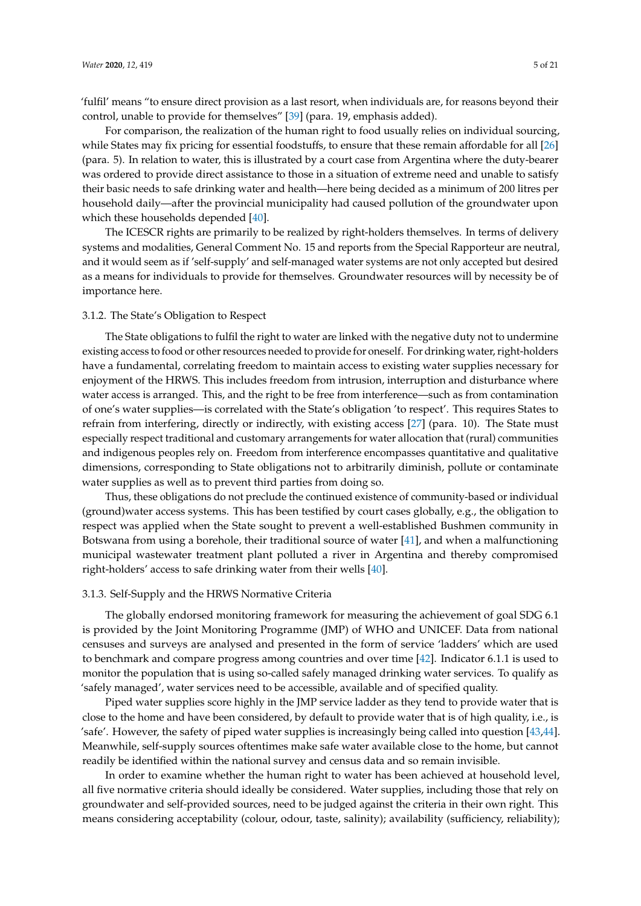'fulfil' means "to ensure direct provision as a last resort, when individuals are, for reasons beyond their control, unable to provide for themselves" [\[39\]](#page-18-4) (para. 19, emphasis added).

For comparison, the realization of the human right to food usually relies on individual sourcing, while States may fix pricing for essential foodstuffs, to ensure that these remain affordable for all [\[26\]](#page-17-14) (para. 5). In relation to water, this is illustrated by a court case from Argentina where the duty-bearer was ordered to provide direct assistance to those in a situation of extreme need and unable to satisfy their basic needs to safe drinking water and health—here being decided as a minimum of 200 litres per household daily—after the provincial municipality had caused pollution of the groundwater upon which these households depended [\[40\]](#page-18-5).

The ICESCR rights are primarily to be realized by right-holders themselves. In terms of delivery systems and modalities, General Comment No. 15 and reports from the Special Rapporteur are neutral, and it would seem as if 'self-supply' and self-managed water systems are not only accepted but desired as a means for individuals to provide for themselves. Groundwater resources will by necessity be of importance here.

#### 3.1.2. The State's Obligation to Respect

The State obligations to fulfil the right to water are linked with the negative duty not to undermine existing access to food or other resources needed to provide for oneself. For drinking water, right-holders have a fundamental, correlating freedom to maintain access to existing water supplies necessary for enjoyment of the HRWS. This includes freedom from intrusion, interruption and disturbance where water access is arranged. This, and the right to be free from interference—such as from contamination of one's water supplies—is correlated with the State's obligation 'to respect'. This requires States to refrain from interfering, directly or indirectly, with existing access [\[27\]](#page-17-15) (para. 10). The State must especially respect traditional and customary arrangements for water allocation that (rural) communities and indigenous peoples rely on. Freedom from interference encompasses quantitative and qualitative dimensions, corresponding to State obligations not to arbitrarily diminish, pollute or contaminate water supplies as well as to prevent third parties from doing so.

Thus, these obligations do not preclude the continued existence of community-based or individual (ground)water access systems. This has been testified by court cases globally, e.g., the obligation to respect was applied when the State sought to prevent a well-established Bushmen community in Botswana from using a borehole, their traditional source of water [\[41\]](#page-18-6), and when a malfunctioning municipal wastewater treatment plant polluted a river in Argentina and thereby compromised right-holders' access to safe drinking water from their wells [\[40\]](#page-18-5).

## 3.1.3. Self-Supply and the HRWS Normative Criteria

The globally endorsed monitoring framework for measuring the achievement of goal SDG 6.1 is provided by the Joint Monitoring Programme (JMP) of WHO and UNICEF. Data from national censuses and surveys are analysed and presented in the form of service 'ladders' which are used to benchmark and compare progress among countries and over time [\[42\]](#page-18-7). Indicator 6.1.1 is used to monitor the population that is using so-called safely managed drinking water services. To qualify as 'safely managed', water services need to be accessible, available and of specified quality.

Piped water supplies score highly in the JMP service ladder as they tend to provide water that is close to the home and have been considered, by default to provide water that is of high quality, i.e., is 'safe'. However, the safety of piped water supplies is increasingly being called into question [\[43,](#page-18-8)[44\]](#page-18-9). Meanwhile, self-supply sources oftentimes make safe water available close to the home, but cannot readily be identified within the national survey and census data and so remain invisible.

In order to examine whether the human right to water has been achieved at household level, all five normative criteria should ideally be considered. Water supplies, including those that rely on groundwater and self-provided sources, need to be judged against the criteria in their own right. This means considering acceptability (colour, odour, taste, salinity); availability (sufficiency, reliability);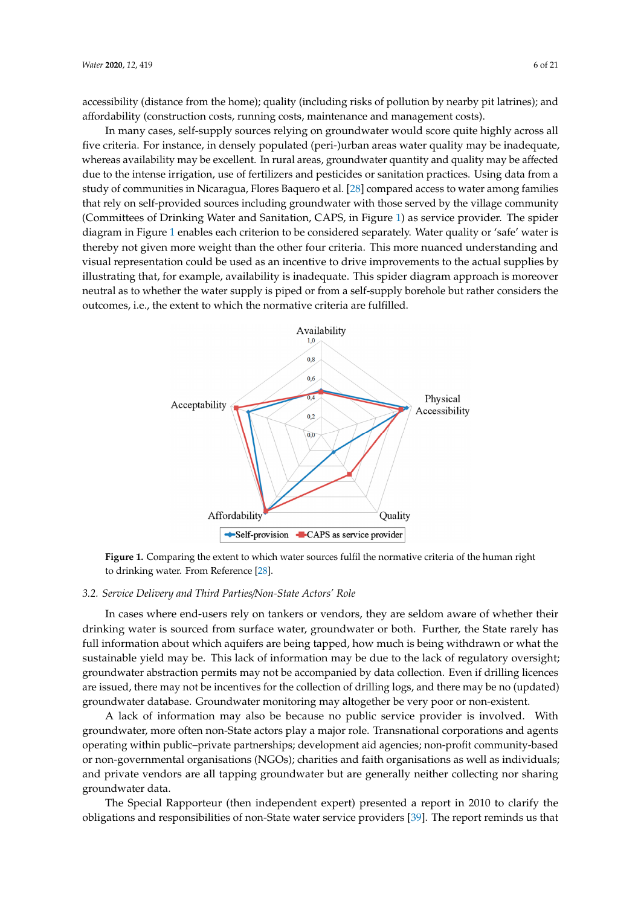accessibility (distance from the home); quality (including risks of pollution by nearby pit latrines); and affordability (construction costs, running costs, maintenance and management costs).

In many cases, self-supply sources relying on groundwater would score quite highly across all In many cases, self-supply sources relying on groundwater would score quite highly across all five criteria. For instance, in densely populated (peri-)urban areas water quality may be inadequate, five criteria. For instance, in densely populated (peri-)urban areas water quality may be inadequate, whereas availability may be excellent. In rural areas, groundwater quantity and quality may be affected due to the intense irrigation, use of fertilizers and pesticides or sanitation practices. Using data from a study of communities in Nicaragua, Flores Baquero et al. [\[28\]](#page-17-16) compared access to water among families that rely on self-provided sources including groundwater with those served by the village community (Committees of Drinking Water and Sanitation, CAPS, in Figure [1\)](#page-5-0) as service provider. The spider diagram in Figure [1](#page-5-0) enables each criterion to be considered separately. Water quality or 'safe' water is thereby not given more weight than the other four criteria. This more nuanced understanding and visual representation could be used as an incentive to drive improvements to the actual supplies by illustrating that, for example, availability is inadequate. This spider diagram approach is moreover neutral as to whether the water supply is piped or from a self-supply borehole but rather considers the self-supply borehold but rather the outcomes, i.e., the extent to which the normative criteria are fulfilled.  $\frac{1}{2}$ 

<span id="page-5-0"></span>

**Figure 1.** Comparing the extent to which water sources fulfil the normative criteria of the human **Figure 1.** Comparing the extent to which water sources fulfil the normative criteria of the human right to drinking water. From Reference [\[28\]](#page-17-16).

#### <span id="page-5-1"></span>*3.2. Service Delivery and Third Parties/Non-State Actors' Role 3.2. Service Delivery and Third Parties*/*Non-State Actors' Role*

drinking water is sourced from surface water, groundwater or both. Further, the State rarely has full information about which aquifers are being tapped, how much is being withdrawn or what the sustainable yield may be. This lack of information may be due to the lack of regulatory oversight; groundwater abstraction permits may not be accompanied by data collection. Even if drilling licences are issued, there may not be incentives for the collection of drilling logs, and there may be no (updated) groundwater database. Groundwater monitoring may altogether be very poor or non-existent. In cases where end-users rely on tankers or vendors, they are seldom aware of whether their

A lack of information may also be because no public service provider is involved. With groundwater, more often non-State actors play a major role. Transnational corporations and agents operating within public-private partnerships; development aid agencies; non-profit community-based or non-governmental organisations (NGOs); charities and faith organisations as well as individuals; and private vendors are all tapping groundwater but are generally neither collecting nor sharing community-based or non-governmental organisations (NGOs); charities and faith organisations as  $\sim$ 

The Special Rapporteur (then independent expert) presented a report in 2010 to clarify the obligations and responsibilities of non-State water service providers [\[39\]](#page-18-4). The report reminds us that The Special Rapporteur (then independent expertises  $\mathbf{r}_1$  and  $\mathbf{r}_2$  then in 2010 to clarify then independent expertises of the special rapporter  $\mathbf{r}_2$  and  $\mathbf{r}_3$  and  $\mathbf{r}_4$  and  $\mathbf{r}_5$  and  $\mathbf{r}_6$  an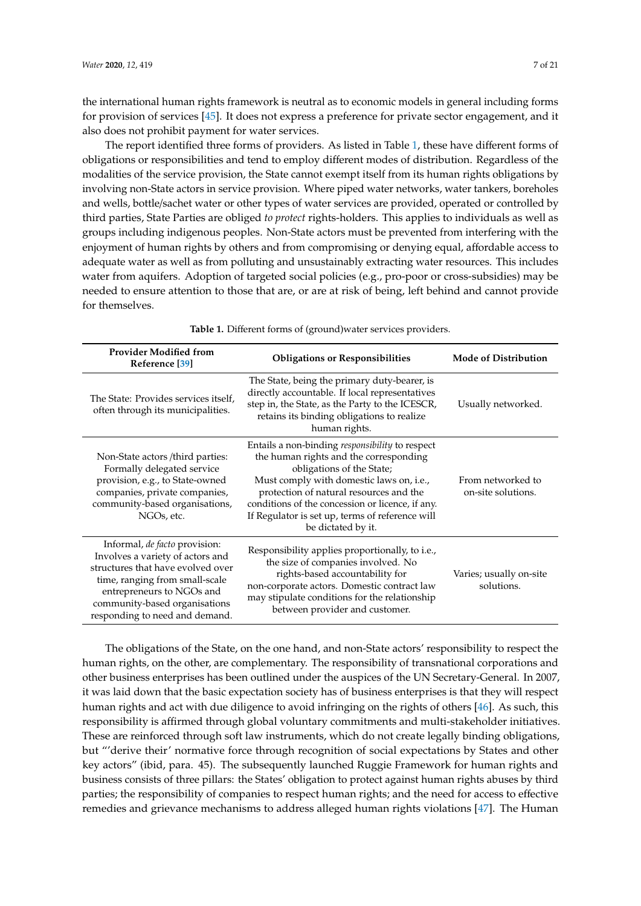the international human rights framework is neutral as to economic models in general including forms for provision of services [\[45\]](#page-18-10). It does not express a preference for private sector engagement, and it also does not prohibit payment for water services.

The report identified three forms of providers. As listed in Table [1,](#page-6-0) these have different forms of obligations or responsibilities and tend to employ different modes of distribution. Regardless of the modalities of the service provision, the State cannot exempt itself from its human rights obligations by involving non-State actors in service provision. Where piped water networks, water tankers, boreholes and wells, bottle/sachet water or other types of water services are provided, operated or controlled by third parties, State Parties are obliged *to protect* rights-holders. This applies to individuals as well as groups including indigenous peoples. Non-State actors must be prevented from interfering with the enjoyment of human rights by others and from compromising or denying equal, affordable access to adequate water as well as from polluting and unsustainably extracting water resources. This includes water from aquifers. Adoption of targeted social policies (e.g., pro-poor or cross-subsidies) may be needed to ensure attention to those that are, or are at risk of being, left behind and cannot provide for themselves.

<span id="page-6-0"></span>

| <b>Provider Modified from</b><br>Reference [39]                                                                                                                                                                                                 | <b>Obligations or Responsibilities</b>                                                                                                                                                                                                                                                                                                     | <b>Mode of Distribution</b>             |
|-------------------------------------------------------------------------------------------------------------------------------------------------------------------------------------------------------------------------------------------------|--------------------------------------------------------------------------------------------------------------------------------------------------------------------------------------------------------------------------------------------------------------------------------------------------------------------------------------------|-----------------------------------------|
| The State: Provides services itself.<br>often through its municipalities.                                                                                                                                                                       | The State, being the primary duty-bearer, is<br>directly accountable. If local representatives<br>step in, the State, as the Party to the ICESCR,<br>retains its binding obligations to realize<br>human rights.                                                                                                                           | Usually networked.                      |
| Non-State actors/third parties:<br>Formally delegated service<br>provision, e.g., to State-owned<br>companies, private companies,<br>community-based organisations,<br>NGOs, etc.                                                               | Entails a non-binding responsibility to respect<br>the human rights and the corresponding<br>obligations of the State;<br>Must comply with domestic laws on, i.e.,<br>protection of natural resources and the<br>conditions of the concession or licence, if any.<br>If Regulator is set up, terms of reference will<br>be dictated by it. | From networked to<br>on-site solutions. |
| Informal, <i>de facto</i> provision:<br>Involves a variety of actors and<br>structures that have evolved over<br>time, ranging from small-scale<br>entrepreneurs to NGOs and<br>community-based organisations<br>responding to need and demand. | Responsibility applies proportionally, to i.e.,<br>the size of companies involved. No<br>rights-based accountability for<br>non-corporate actors. Domestic contract law<br>may stipulate conditions for the relationship<br>between provider and customer.                                                                                 | Varies; usually on-site<br>solutions.   |

**Table 1.** Different forms of (ground)water services providers.

The obligations of the State, on the one hand, and non-State actors' responsibility to respect the human rights, on the other, are complementary. The responsibility of transnational corporations and other business enterprises has been outlined under the auspices of the UN Secretary-General. In 2007, it was laid down that the basic expectation society has of business enterprises is that they will respect human rights and act with due diligence to avoid infringing on the rights of others [\[46\]](#page-18-11). As such, this responsibility is affirmed through global voluntary commitments and multi-stakeholder initiatives. These are reinforced through soft law instruments, which do not create legally binding obligations, but "'derive their' normative force through recognition of social expectations by States and other key actors" (ibid, para. 45). The subsequently launched Ruggie Framework for human rights and business consists of three pillars: the States' obligation to protect against human rights abuses by third parties; the responsibility of companies to respect human rights; and the need for access to effective remedies and grievance mechanisms to address alleged human rights violations [\[47\]](#page-18-12). The Human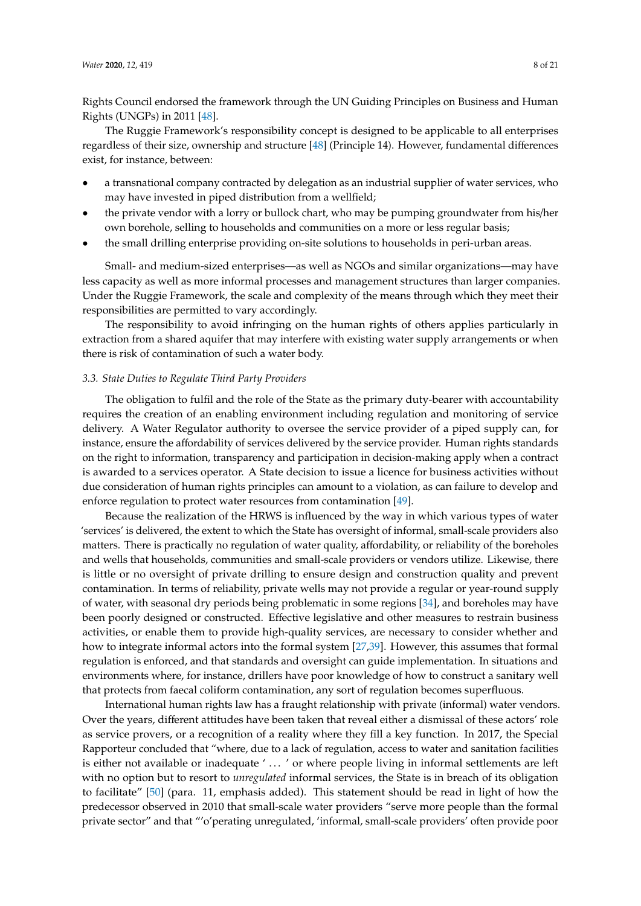Rights Council endorsed the framework through the UN Guiding Principles on Business and Human Rights (UNGPs) in 2011 [\[48\]](#page-18-13).

The Ruggie Framework's responsibility concept is designed to be applicable to all enterprises regardless of their size, ownership and structure [\[48\]](#page-18-13) (Principle 14). However, fundamental differences exist, for instance, between:

- a transnational company contracted by delegation as an industrial supplier of water services, who may have invested in piped distribution from a wellfield;
- the private vendor with a lorry or bullock chart, who may be pumping groundwater from his/her own borehole, selling to households and communities on a more or less regular basis;
- the small drilling enterprise providing on-site solutions to households in peri-urban areas.

Small- and medium-sized enterprises—as well as NGOs and similar organizations—may have less capacity as well as more informal processes and management structures than larger companies. Under the Ruggie Framework, the scale and complexity of the means through which they meet their responsibilities are permitted to vary accordingly.

The responsibility to avoid infringing on the human rights of others applies particularly in extraction from a shared aquifer that may interfere with existing water supply arrangements or when there is risk of contamination of such a water body.

#### *3.3. State Duties to Regulate Third Party Providers*

The obligation to fulfil and the role of the State as the primary duty-bearer with accountability requires the creation of an enabling environment including regulation and monitoring of service delivery. A Water Regulator authority to oversee the service provider of a piped supply can, for instance, ensure the affordability of services delivered by the service provider. Human rights standards on the right to information, transparency and participation in decision-making apply when a contract is awarded to a services operator. A State decision to issue a licence for business activities without due consideration of human rights principles can amount to a violation, as can failure to develop and enforce regulation to protect water resources from contamination [\[49\]](#page-18-14).

Because the realization of the HRWS is influenced by the way in which various types of water 'services' is delivered, the extent to which the State has oversight of informal, small-scale providers also matters. There is practically no regulation of water quality, affordability, or reliability of the boreholes and wells that households, communities and small-scale providers or vendors utilize. Likewise, there is little or no oversight of private drilling to ensure design and construction quality and prevent contamination. In terms of reliability, private wells may not provide a regular or year-round supply of water, with seasonal dry periods being problematic in some regions [\[34\]](#page-17-22), and boreholes may have been poorly designed or constructed. Effective legislative and other measures to restrain business activities, or enable them to provide high-quality services, are necessary to consider whether and how to integrate informal actors into the formal system [\[27,](#page-17-15)[39\]](#page-18-4). However, this assumes that formal regulation is enforced, and that standards and oversight can guide implementation. In situations and environments where, for instance, drillers have poor knowledge of how to construct a sanitary well that protects from faecal coliform contamination, any sort of regulation becomes superfluous.

International human rights law has a fraught relationship with private (informal) water vendors. Over the years, different attitudes have been taken that reveal either a dismissal of these actors' role as service provers, or a recognition of a reality where they fill a key function. In 2017, the Special Rapporteur concluded that "where, due to a lack of regulation, access to water and sanitation facilities is either not available or inadequate ' . . . ' or where people living in informal settlements are left with no option but to resort to *unregulated* informal services, the State is in breach of its obligation to facilitate" [\[50\]](#page-18-15) (para. 11, emphasis added). This statement should be read in light of how the predecessor observed in 2010 that small-scale water providers "serve more people than the formal private sector" and that "'o'perating unregulated, 'informal, small-scale providers' often provide poor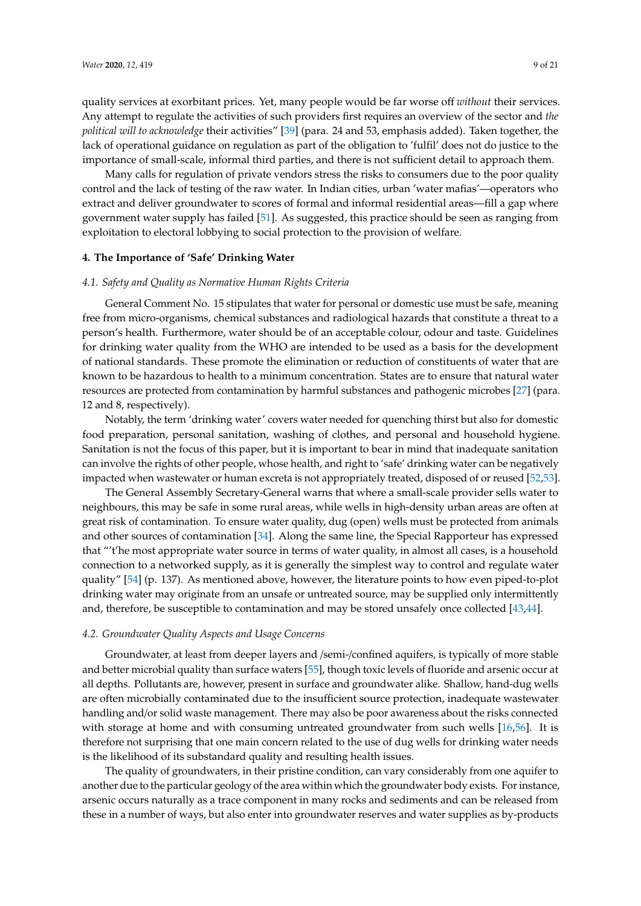quality services at exorbitant prices. Yet, many people would be far worse off *without* their services. Any attempt to regulate the activities of such providers first requires an overview of the sector and *the political will to acknowledge* their activities" [\[39\]](#page-18-4) (para. 24 and 53, emphasis added). Taken together, the lack of operational guidance on regulation as part of the obligation to 'fulfil' does not do justice to the importance of small-scale, informal third parties, and there is not sufficient detail to approach them.

Many calls for regulation of private vendors stress the risks to consumers due to the poor quality control and the lack of testing of the raw water. In Indian cities, urban 'water mafias'—operators who extract and deliver groundwater to scores of formal and informal residential areas—fill a gap where government water supply has failed [\[51\]](#page-19-0). As suggested, this practice should be seen as ranging from exploitation to electoral lobbying to social protection to the provision of welfare.

## <span id="page-8-0"></span>**4. The Importance of 'Safe' Drinking Water**

#### *4.1. Safety and Quality as Normative Human Rights Criteria*

General Comment No. 15 stipulates that water for personal or domestic use must be safe, meaning free from micro-organisms, chemical substances and radiological hazards that constitute a threat to a person's health. Furthermore, water should be of an acceptable colour, odour and taste. Guidelines for drinking water quality from the WHO are intended to be used as a basis for the development of national standards. These promote the elimination or reduction of constituents of water that are known to be hazardous to health to a minimum concentration. States are to ensure that natural water resources are protected from contamination by harmful substances and pathogenic microbes [\[27\]](#page-17-15) (para. 12 and 8, respectively).

Notably, the term 'drinking water' covers water needed for quenching thirst but also for domestic food preparation, personal sanitation, washing of clothes, and personal and household hygiene. Sanitation is not the focus of this paper, but it is important to bear in mind that inadequate sanitation can involve the rights of other people, whose health, and right to 'safe' drinking water can be negatively impacted when wastewater or human excreta is not appropriately treated, disposed of or reused [\[52](#page-19-1)[,53\]](#page-19-2).

The General Assembly Secretary-General warns that where a small-scale provider sells water to neighbours, this may be safe in some rural areas, while wells in high-density urban areas are often at great risk of contamination. To ensure water quality, dug (open) wells must be protected from animals and other sources of contamination [\[34\]](#page-17-22). Along the same line, the Special Rapporteur has expressed that "'t'he most appropriate water source in terms of water quality, in almost all cases, is a household connection to a networked supply, as it is generally the simplest way to control and regulate water quality" [\[54\]](#page-19-3) (p. 137). As mentioned above, however, the literature points to how even piped-to-plot drinking water may originate from an unsafe or untreated source, may be supplied only intermittently and, therefore, be susceptible to contamination and may be stored unsafely once collected [\[43](#page-18-8)[,44\]](#page-18-9).

## *4.2. Groundwater Quality Aspects and Usage Concerns*

Groundwater, at least from deeper layers and /semi-/confined aquifers, is typically of more stable and better microbial quality than surface waters [\[55\]](#page-19-4), though toxic levels of fluoride and arsenic occur at all depths. Pollutants are, however, present in surface and groundwater alike. Shallow, hand-dug wells are often microbially contaminated due to the insufficient source protection, inadequate wastewater handling and/or solid waste management. There may also be poor awareness about the risks connected with storage at home and with consuming untreated groundwater from such wells [\[16,](#page-17-4)[56\]](#page-19-5). It is therefore not surprising that one main concern related to the use of dug wells for drinking water needs is the likelihood of its substandard quality and resulting health issues.

The quality of groundwaters, in their pristine condition, can vary considerably from one aquifer to another due to the particular geology of the area within which the groundwater body exists. For instance, arsenic occurs naturally as a trace component in many rocks and sediments and can be released from these in a number of ways, but also enter into groundwater reserves and water supplies as by-products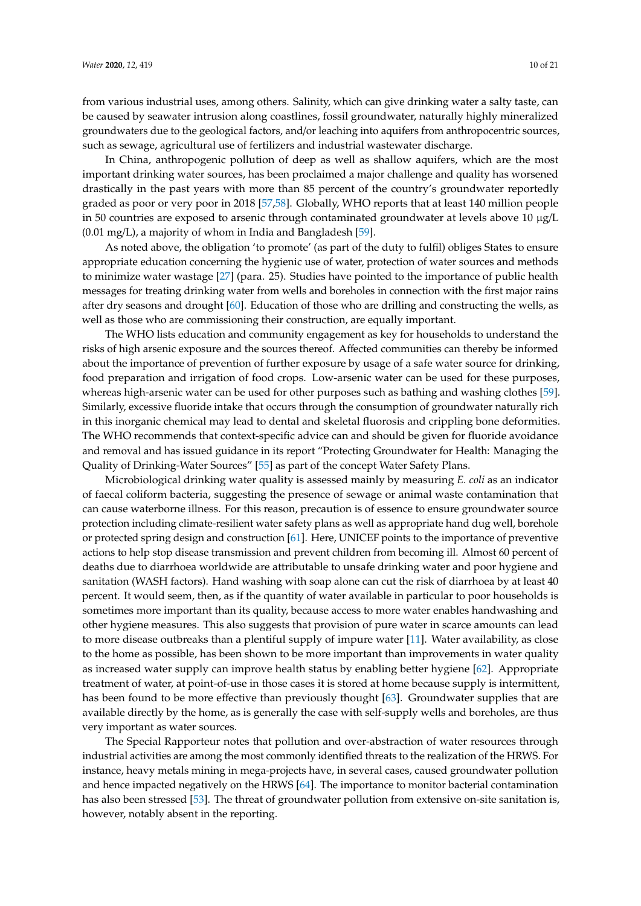from various industrial uses, among others. Salinity, which can give drinking water a salty taste, can be caused by seawater intrusion along coastlines, fossil groundwater, naturally highly mineralized groundwaters due to the geological factors, and/or leaching into aquifers from anthropocentric sources, such as sewage, agricultural use of fertilizers and industrial wastewater discharge.

In China, anthropogenic pollution of deep as well as shallow aquifers, which are the most important drinking water sources, has been proclaimed a major challenge and quality has worsened drastically in the past years with more than 85 percent of the country's groundwater reportedly graded as poor or very poor in 2018 [\[57,](#page-19-6)[58\]](#page-19-7). Globally, WHO reports that at least 140 million people in 50 countries are exposed to arsenic through contaminated groundwater at levels above 10  $\mu$ g/L (0.01 mg/L), a majority of whom in India and Bangladesh [\[59\]](#page-19-8).

As noted above, the obligation 'to promote' (as part of the duty to fulfil) obliges States to ensure appropriate education concerning the hygienic use of water, protection of water sources and methods to minimize water wastage [\[27\]](#page-17-15) (para. 25). Studies have pointed to the importance of public health messages for treating drinking water from wells and boreholes in connection with the first major rains after dry seasons and drought [\[60\]](#page-19-9). Education of those who are drilling and constructing the wells, as well as those who are commissioning their construction, are equally important.

The WHO lists education and community engagement as key for households to understand the risks of high arsenic exposure and the sources thereof. Affected communities can thereby be informed about the importance of prevention of further exposure by usage of a safe water source for drinking, food preparation and irrigation of food crops. Low-arsenic water can be used for these purposes, whereas high-arsenic water can be used for other purposes such as bathing and washing clothes [\[59\]](#page-19-8). Similarly, excessive fluoride intake that occurs through the consumption of groundwater naturally rich in this inorganic chemical may lead to dental and skeletal fluorosis and crippling bone deformities. The WHO recommends that context-specific advice can and should be given for fluoride avoidance and removal and has issued guidance in its report "Protecting Groundwater for Health: Managing the Quality of Drinking-Water Sources" [\[55\]](#page-19-4) as part of the concept Water Safety Plans.

Microbiological drinking water quality is assessed mainly by measuring *E. coli* as an indicator of faecal coliform bacteria, suggesting the presence of sewage or animal waste contamination that can cause waterborne illness. For this reason, precaution is of essence to ensure groundwater source protection including climate-resilient water safety plans as well as appropriate hand dug well, borehole or protected spring design and construction [\[61\]](#page-19-10). Here, UNICEF points to the importance of preventive actions to help stop disease transmission and prevent children from becoming ill. Almost 60 percent of deaths due to diarrhoea worldwide are attributable to unsafe drinking water and poor hygiene and sanitation (WASH factors). Hand washing with soap alone can cut the risk of diarrhoea by at least 40 percent. It would seem, then, as if the quantity of water available in particular to poor households is sometimes more important than its quality, because access to more water enables handwashing and other hygiene measures. This also suggests that provision of pure water in scarce amounts can lead to more disease outbreaks than a plentiful supply of impure water [\[11\]](#page-16-9). Water availability, as close to the home as possible, has been shown to be more important than improvements in water quality as increased water supply can improve health status by enabling better hygiene [\[62\]](#page-19-11). Appropriate treatment of water, at point-of-use in those cases it is stored at home because supply is intermittent, has been found to be more effective than previously thought [\[63\]](#page-19-12). Groundwater supplies that are available directly by the home, as is generally the case with self-supply wells and boreholes, are thus very important as water sources.

The Special Rapporteur notes that pollution and over-abstraction of water resources through industrial activities are among the most commonly identified threats to the realization of the HRWS. For instance, heavy metals mining in mega-projects have, in several cases, caused groundwater pollution and hence impacted negatively on the HRWS [\[64\]](#page-19-13). The importance to monitor bacterial contamination has also been stressed [\[53\]](#page-19-2). The threat of groundwater pollution from extensive on-site sanitation is, however, notably absent in the reporting.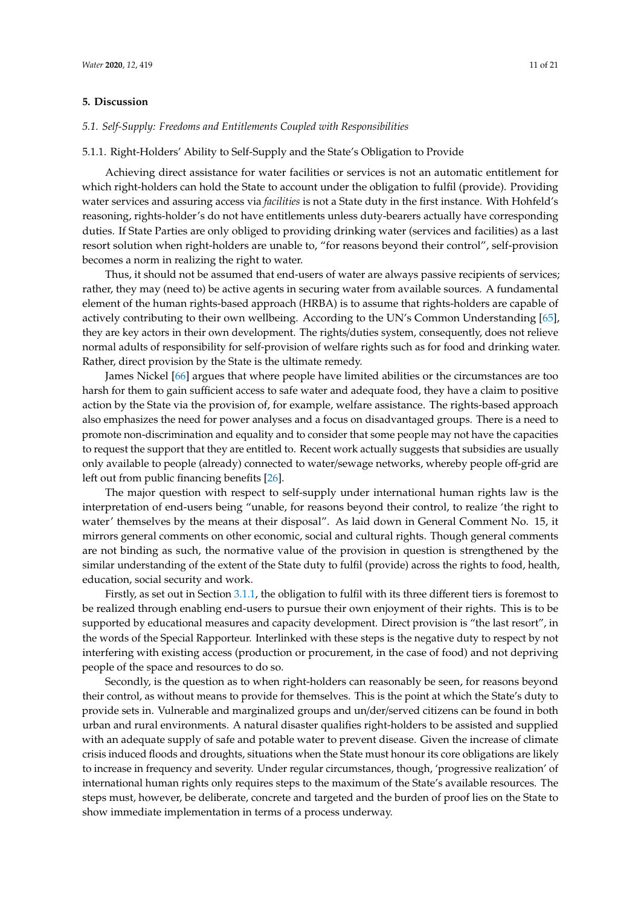## <span id="page-10-0"></span>**5. Discussion**

## *5.1. Self-Supply: Freedoms and Entitlements Coupled with Responsibilities*

## 5.1.1. Right-Holders' Ability to Self-Supply and the State's Obligation to Provide

Achieving direct assistance for water facilities or services is not an automatic entitlement for which right-holders can hold the State to account under the obligation to fulfil (provide). Providing water services and assuring access via *facilities* is not a State duty in the first instance. With Hohfeld's reasoning, rights-holder's do not have entitlements unless duty-bearers actually have corresponding duties. If State Parties are only obliged to providing drinking water (services and facilities) as a last resort solution when right-holders are unable to, "for reasons beyond their control", self-provision becomes a norm in realizing the right to water.

Thus, it should not be assumed that end-users of water are always passive recipients of services; rather, they may (need to) be active agents in securing water from available sources. A fundamental element of the human rights-based approach (HRBA) is to assume that rights-holders are capable of actively contributing to their own wellbeing. According to the UN's Common Understanding [\[65\]](#page-19-14), they are key actors in their own development. The rights/duties system, consequently, does not relieve normal adults of responsibility for self-provision of welfare rights such as for food and drinking water. Rather, direct provision by the State is the ultimate remedy.

James Nickel [\[66\]](#page-19-15) argues that where people have limited abilities or the circumstances are too harsh for them to gain sufficient access to safe water and adequate food, they have a claim to positive action by the State via the provision of, for example, welfare assistance. The rights-based approach also emphasizes the need for power analyses and a focus on disadvantaged groups. There is a need to promote non-discrimination and equality and to consider that some people may not have the capacities to request the support that they are entitled to. Recent work actually suggests that subsidies are usually only available to people (already) connected to water/sewage networks, whereby people off-grid are left out from public financing benefits [\[26\]](#page-17-14).

The major question with respect to self-supply under international human rights law is the interpretation of end-users being "unable, for reasons beyond their control, to realize 'the right to water' themselves by the means at their disposal". As laid down in General Comment No. 15, it mirrors general comments on other economic, social and cultural rights. Though general comments are not binding as such, the normative value of the provision in question is strengthened by the similar understanding of the extent of the State duty to fulfil (provide) across the rights to food, health, education, social security and work.

Firstly, as set out in Section [3.1.1,](#page-3-0) the obligation to fulfil with its three different tiers is foremost to be realized through enabling end-users to pursue their own enjoyment of their rights. This is to be supported by educational measures and capacity development. Direct provision is "the last resort", in the words of the Special Rapporteur. Interlinked with these steps is the negative duty to respect by not interfering with existing access (production or procurement, in the case of food) and not depriving people of the space and resources to do so.

Secondly, is the question as to when right-holders can reasonably be seen, for reasons beyond their control, as without means to provide for themselves. This is the point at which the State's duty to provide sets in. Vulnerable and marginalized groups and un/der/served citizens can be found in both urban and rural environments. A natural disaster qualifies right-holders to be assisted and supplied with an adequate supply of safe and potable water to prevent disease. Given the increase of climate crisis induced floods and droughts, situations when the State must honour its core obligations are likely to increase in frequency and severity. Under regular circumstances, though, 'progressive realization' of international human rights only requires steps to the maximum of the State's available resources. The steps must, however, be deliberate, concrete and targeted and the burden of proof lies on the State to show immediate implementation in terms of a process underway.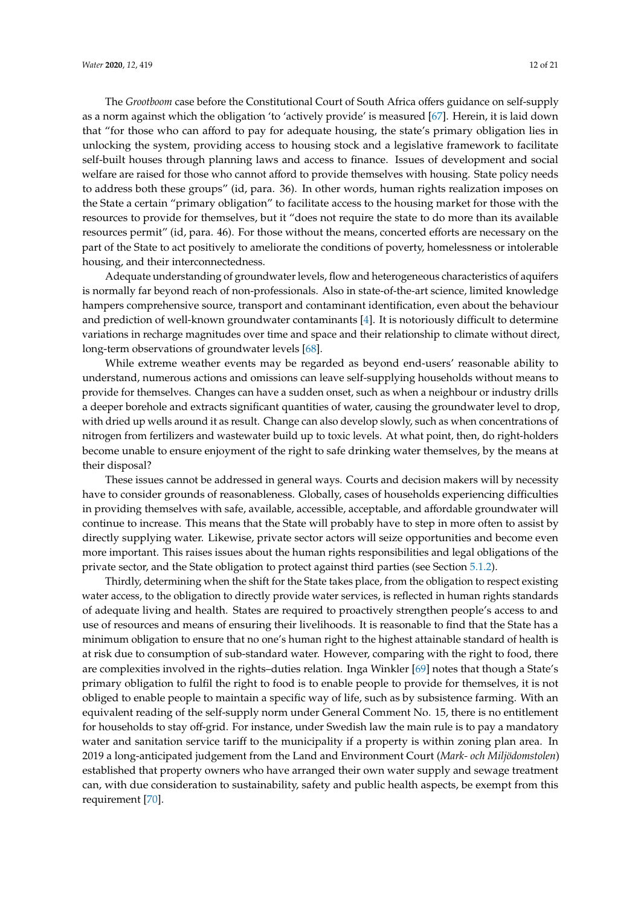The *Grootboom* case before the Constitutional Court of South Africa offers guidance on self-supply as a norm against which the obligation 'to 'actively provide' is measured [\[67\]](#page-19-16). Herein, it is laid down that "for those who can afford to pay for adequate housing, the state's primary obligation lies in unlocking the system, providing access to housing stock and a legislative framework to facilitate self-built houses through planning laws and access to finance. Issues of development and social welfare are raised for those who cannot afford to provide themselves with housing. State policy needs to address both these groups" (id, para. 36). In other words, human rights realization imposes on the State a certain "primary obligation" to facilitate access to the housing market for those with the resources to provide for themselves, but it "does not require the state to do more than its available resources permit" (id, para. 46). For those without the means, concerted efforts are necessary on the part of the State to act positively to ameliorate the conditions of poverty, homelessness or intolerable housing, and their interconnectedness.

Adequate understanding of groundwater levels, flow and heterogeneous characteristics of aquifers is normally far beyond reach of non-professionals. Also in state-of-the-art science, limited knowledge hampers comprehensive source, transport and contaminant identification, even about the behaviour and prediction of well-known groundwater contaminants [\[4\]](#page-16-3). It is notoriously difficult to determine variations in recharge magnitudes over time and space and their relationship to climate without direct, long-term observations of groundwater levels [\[68\]](#page-19-17).

While extreme weather events may be regarded as beyond end-users' reasonable ability to understand, numerous actions and omissions can leave self-supplying households without means to provide for themselves. Changes can have a sudden onset, such as when a neighbour or industry drills a deeper borehole and extracts significant quantities of water, causing the groundwater level to drop, with dried up wells around it as result. Change can also develop slowly, such as when concentrations of nitrogen from fertilizers and wastewater build up to toxic levels. At what point, then, do right-holders become unable to ensure enjoyment of the right to safe drinking water themselves, by the means at their disposal?

These issues cannot be addressed in general ways. Courts and decision makers will by necessity have to consider grounds of reasonableness. Globally, cases of households experiencing difficulties in providing themselves with safe, available, accessible, acceptable, and affordable groundwater will continue to increase. This means that the State will probably have to step in more often to assist by directly supplying water. Likewise, private sector actors will seize opportunities and become even more important. This raises issues about the human rights responsibilities and legal obligations of the private sector, and the State obligation to protect against third parties (see Section [5.1.2\)](#page-12-0).

Thirdly, determining when the shift for the State takes place, from the obligation to respect existing water access, to the obligation to directly provide water services, is reflected in human rights standards of adequate living and health. States are required to proactively strengthen people's access to and use of resources and means of ensuring their livelihoods. It is reasonable to find that the State has a minimum obligation to ensure that no one's human right to the highest attainable standard of health is at risk due to consumption of sub-standard water. However, comparing with the right to food, there are complexities involved in the rights–duties relation. Inga Winkler [\[69\]](#page-19-18) notes that though a State's primary obligation to fulfil the right to food is to enable people to provide for themselves, it is not obliged to enable people to maintain a specific way of life, such as by subsistence farming. With an equivalent reading of the self-supply norm under General Comment No. 15, there is no entitlement for households to stay off-grid. For instance, under Swedish law the main rule is to pay a mandatory water and sanitation service tariff to the municipality if a property is within zoning plan area. In 2019 a long-anticipated judgement from the Land and Environment Court (*Mark- och Miljödomstolen*) established that property owners who have arranged their own water supply and sewage treatment can, with due consideration to sustainability, safety and public health aspects, be exempt from this requirement [\[70\]](#page-19-19).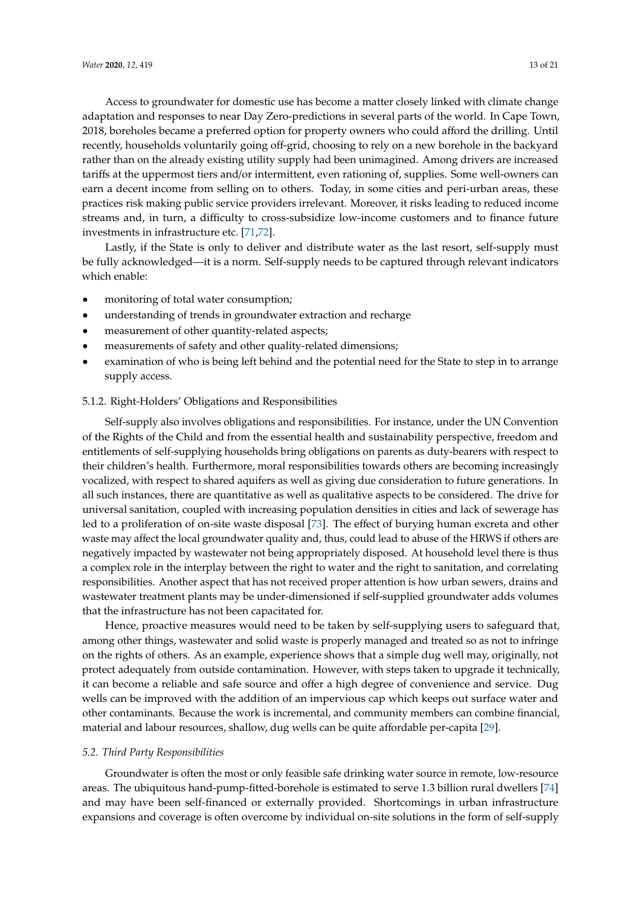Access to groundwater for domestic use has become a matter closely linked with climate change adaptation and responses to near Day Zero-predictions in several parts of the world. In Cape Town, 2018, boreholes became a preferred option for property owners who could afford the drilling. Until recently, households voluntarily going off-grid, choosing to rely on a new borehole in the backyard rather than on the already existing utility supply had been unimagined. Among drivers are increased tariffs at the uppermost tiers and/or intermittent, even rationing of, supplies. Some well-owners can earn a decent income from selling on to others. Today, in some cities and peri-urban areas, these practices risk making public service providers irrelevant. Moreover, it risks leading to reduced income streams and, in turn, a difficulty to cross-subsidize low-income customers and to finance future investments in infrastructure etc. [\[71](#page-20-0)[,72\]](#page-20-1).

Lastly, if the State is only to deliver and distribute water as the last resort, self-supply must be fully acknowledged—it is a norm. Self-supply needs to be captured through relevant indicators which enable:

- monitoring of total water consumption;
- understanding of trends in groundwater extraction and recharge
- measurement of other quantity-related aspects;
- measurements of safety and other quality-related dimensions;
- examination of who is being left behind and the potential need for the State to step in to arrange supply access.

## <span id="page-12-0"></span>5.1.2. Right-Holders' Obligations and Responsibilities

Self-supply also involves obligations and responsibilities. For instance, under the UN Convention of the Rights of the Child and from the essential health and sustainability perspective, freedom and entitlements of self-supplying households bring obligations on parents as duty-bearers with respect to their children's health. Furthermore, moral responsibilities towards others are becoming increasingly vocalized, with respect to shared aquifers as well as giving due consideration to future generations. In all such instances, there are quantitative as well as qualitative aspects to be considered. The drive for universal sanitation, coupled with increasing population densities in cities and lack of sewerage has led to a proliferation of on-site waste disposal [\[73\]](#page-20-2). The effect of burying human excreta and other waste may affect the local groundwater quality and, thus, could lead to abuse of the HRWS if others are negatively impacted by wastewater not being appropriately disposed. At household level there is thus a complex role in the interplay between the right to water and the right to sanitation, and correlating responsibilities. Another aspect that has not received proper attention is how urban sewers, drains and wastewater treatment plants may be under-dimensioned if self-supplied groundwater adds volumes that the infrastructure has not been capacitated for.

Hence, proactive measures would need to be taken by self-supplying users to safeguard that, among other things, wastewater and solid waste is properly managed and treated so as not to infringe on the rights of others. As an example, experience shows that a simple dug well may, originally, not protect adequately from outside contamination. However, with steps taken to upgrade it technically, it can become a reliable and safe source and offer a high degree of convenience and service. Dug wells can be improved with the addition of an impervious cap which keeps out surface water and other contaminants. Because the work is incremental, and community members can combine financial, material and labour resources, shallow, dug wells can be quite affordable per-capita [\[29\]](#page-17-17).

#### *5.2. Third Party Responsibilities*

Groundwater is often the most or only feasible safe drinking water source in remote, low-resource areas. The ubiquitous hand-pump-fitted-borehole is estimated to serve 1.3 billion rural dwellers [\[74\]](#page-20-3) and may have been self-financed or externally provided. Shortcomings in urban infrastructure expansions and coverage is often overcome by individual on-site solutions in the form of self-supply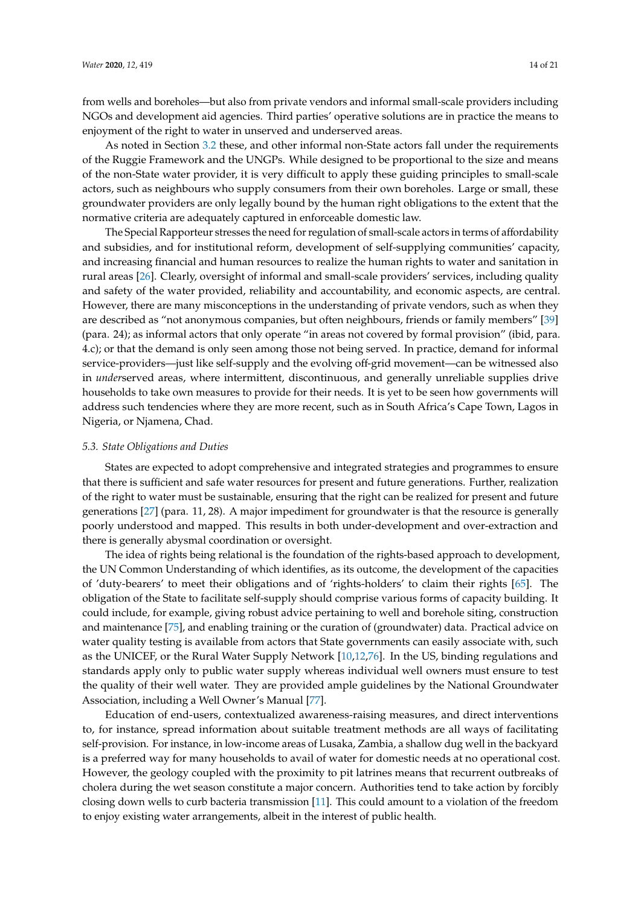from wells and boreholes—but also from private vendors and informal small-scale providers including NGOs and development aid agencies. Third parties' operative solutions are in practice the means to enjoyment of the right to water in unserved and underserved areas.

As noted in Section [3.2](#page-5-1) these, and other informal non-State actors fall under the requirements of the Ruggie Framework and the UNGPs. While designed to be proportional to the size and means of the non-State water provider, it is very difficult to apply these guiding principles to small-scale actors, such as neighbours who supply consumers from their own boreholes. Large or small, these groundwater providers are only legally bound by the human right obligations to the extent that the normative criteria are adequately captured in enforceable domestic law.

The Special Rapporteur stresses the need for regulation of small-scale actors in terms of affordability and subsidies, and for institutional reform, development of self-supplying communities' capacity, and increasing financial and human resources to realize the human rights to water and sanitation in rural areas [\[26\]](#page-17-14). Clearly, oversight of informal and small-scale providers' services, including quality and safety of the water provided, reliability and accountability, and economic aspects, are central. However, there are many misconceptions in the understanding of private vendors, such as when they are described as "not anonymous companies, but often neighbours, friends or family members" [\[39\]](#page-18-4) (para. 24); as informal actors that only operate "in areas not covered by formal provision" (ibid, para. 4.c); or that the demand is only seen among those not being served. In practice, demand for informal service-providers—just like self-supply and the evolving off-grid movement—can be witnessed also in *under*served areas, where intermittent, discontinuous, and generally unreliable supplies drive households to take own measures to provide for their needs. It is yet to be seen how governments will address such tendencies where they are more recent, such as in South Africa's Cape Town, Lagos in Nigeria, or Njamena, Chad.

### *5.3. State Obligations and Duties*

States are expected to adopt comprehensive and integrated strategies and programmes to ensure that there is sufficient and safe water resources for present and future generations. Further, realization of the right to water must be sustainable, ensuring that the right can be realized for present and future generations [\[27\]](#page-17-15) (para. 11, 28). A major impediment for groundwater is that the resource is generally poorly understood and mapped. This results in both under-development and over-extraction and there is generally abysmal coordination or oversight.

The idea of rights being relational is the foundation of the rights-based approach to development, the UN Common Understanding of which identifies, as its outcome, the development of the capacities of 'duty-bearers' to meet their obligations and of 'rights-holders' to claim their rights [\[65\]](#page-19-14). The obligation of the State to facilitate self-supply should comprise various forms of capacity building. It could include, for example, giving robust advice pertaining to well and borehole siting, construction and maintenance [\[75\]](#page-20-4), and enabling training or the curation of (groundwater) data. Practical advice on water quality testing is available from actors that State governments can easily associate with, such as the UNICEF, or the Rural Water Supply Network [\[10,](#page-16-10)[12](#page-17-0)[,76\]](#page-20-5). In the US, binding regulations and standards apply only to public water supply whereas individual well owners must ensure to test the quality of their well water. They are provided ample guidelines by the National Groundwater Association, including a Well Owner's Manual [\[77\]](#page-20-6).

Education of end-users, contextualized awareness-raising measures, and direct interventions to, for instance, spread information about suitable treatment methods are all ways of facilitating self-provision. For instance, in low-income areas of Lusaka, Zambia, a shallow dug well in the backyard is a preferred way for many households to avail of water for domestic needs at no operational cost. However, the geology coupled with the proximity to pit latrines means that recurrent outbreaks of cholera during the wet season constitute a major concern. Authorities tend to take action by forcibly closing down wells to curb bacteria transmission [\[11\]](#page-16-9). This could amount to a violation of the freedom to enjoy existing water arrangements, albeit in the interest of public health.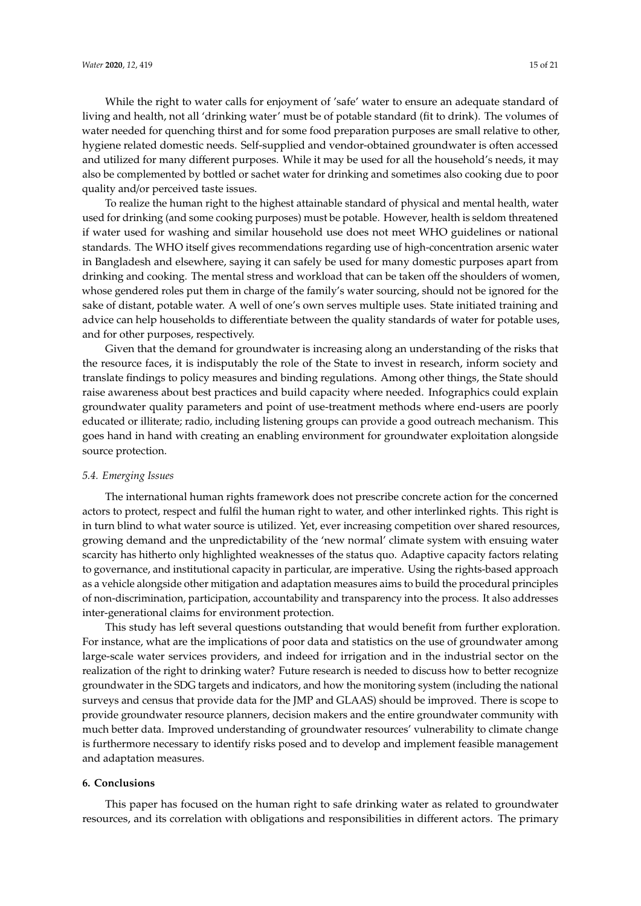While the right to water calls for enjoyment of 'safe' water to ensure an adequate standard of living and health, not all 'drinking water' must be of potable standard (fit to drink). The volumes of water needed for quenching thirst and for some food preparation purposes are small relative to other, hygiene related domestic needs. Self-supplied and vendor-obtained groundwater is often accessed and utilized for many different purposes. While it may be used for all the household's needs, it may also be complemented by bottled or sachet water for drinking and sometimes also cooking due to poor quality and/or perceived taste issues.

To realize the human right to the highest attainable standard of physical and mental health, water used for drinking (and some cooking purposes) must be potable. However, health is seldom threatened if water used for washing and similar household use does not meet WHO guidelines or national standards. The WHO itself gives recommendations regarding use of high-concentration arsenic water in Bangladesh and elsewhere, saying it can safely be used for many domestic purposes apart from drinking and cooking. The mental stress and workload that can be taken off the shoulders of women, whose gendered roles put them in charge of the family's water sourcing, should not be ignored for the sake of distant, potable water. A well of one's own serves multiple uses. State initiated training and advice can help households to differentiate between the quality standards of water for potable uses, and for other purposes, respectively.

Given that the demand for groundwater is increasing along an understanding of the risks that the resource faces, it is indisputably the role of the State to invest in research, inform society and translate findings to policy measures and binding regulations. Among other things, the State should raise awareness about best practices and build capacity where needed. Infographics could explain groundwater quality parameters and point of use-treatment methods where end-users are poorly educated or illiterate; radio, including listening groups can provide a good outreach mechanism. This goes hand in hand with creating an enabling environment for groundwater exploitation alongside source protection.

#### *5.4. Emerging Issues*

The international human rights framework does not prescribe concrete action for the concerned actors to protect, respect and fulfil the human right to water, and other interlinked rights. This right is in turn blind to what water source is utilized. Yet, ever increasing competition over shared resources, growing demand and the unpredictability of the 'new normal' climate system with ensuing water scarcity has hitherto only highlighted weaknesses of the status quo. Adaptive capacity factors relating to governance, and institutional capacity in particular, are imperative. Using the rights-based approach as a vehicle alongside other mitigation and adaptation measures aims to build the procedural principles of non-discrimination, participation, accountability and transparency into the process. It also addresses inter-generational claims for environment protection.

This study has left several questions outstanding that would benefit from further exploration. For instance, what are the implications of poor data and statistics on the use of groundwater among large-scale water services providers, and indeed for irrigation and in the industrial sector on the realization of the right to drinking water? Future research is needed to discuss how to better recognize groundwater in the SDG targets and indicators, and how the monitoring system (including the national surveys and census that provide data for the JMP and GLAAS) should be improved. There is scope to provide groundwater resource planners, decision makers and the entire groundwater community with much better data. Improved understanding of groundwater resources' vulnerability to climate change is furthermore necessary to identify risks posed and to develop and implement feasible management and adaptation measures.

## **6. Conclusions**

This paper has focused on the human right to safe drinking water as related to groundwater resources, and its correlation with obligations and responsibilities in different actors. The primary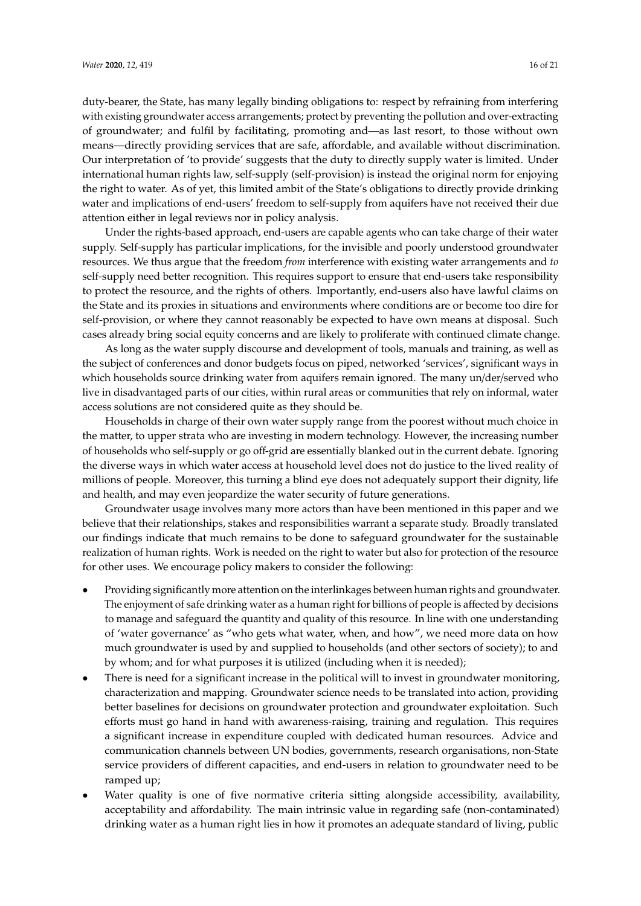duty-bearer, the State, has many legally binding obligations to: respect by refraining from interfering with existing groundwater access arrangements; protect by preventing the pollution and over-extracting of groundwater; and fulfil by facilitating, promoting and—as last resort, to those without own means—directly providing services that are safe, affordable, and available without discrimination. Our interpretation of 'to provide' suggests that the duty to directly supply water is limited. Under international human rights law, self-supply (self-provision) is instead the original norm for enjoying the right to water. As of yet, this limited ambit of the State's obligations to directly provide drinking water and implications of end-users' freedom to self-supply from aquifers have not received their due attention either in legal reviews nor in policy analysis.

Under the rights-based approach, end-users are capable agents who can take charge of their water supply. Self-supply has particular implications, for the invisible and poorly understood groundwater resources. We thus argue that the freedom *from* interference with existing water arrangements and *to* self-supply need better recognition. This requires support to ensure that end-users take responsibility to protect the resource, and the rights of others. Importantly, end-users also have lawful claims on the State and its proxies in situations and environments where conditions are or become too dire for self-provision, or where they cannot reasonably be expected to have own means at disposal. Such cases already bring social equity concerns and are likely to proliferate with continued climate change.

As long as the water supply discourse and development of tools, manuals and training, as well as the subject of conferences and donor budgets focus on piped, networked 'services', significant ways in which households source drinking water from aquifers remain ignored. The many un/der/served who live in disadvantaged parts of our cities, within rural areas or communities that rely on informal, water access solutions are not considered quite as they should be.

Households in charge of their own water supply range from the poorest without much choice in the matter, to upper strata who are investing in modern technology. However, the increasing number of households who self-supply or go off-grid are essentially blanked out in the current debate. Ignoring the diverse ways in which water access at household level does not do justice to the lived reality of millions of people. Moreover, this turning a blind eye does not adequately support their dignity, life and health, and may even jeopardize the water security of future generations.

Groundwater usage involves many more actors than have been mentioned in this paper and we believe that their relationships, stakes and responsibilities warrant a separate study. Broadly translated our findings indicate that much remains to be done to safeguard groundwater for the sustainable realization of human rights. Work is needed on the right to water but also for protection of the resource for other uses. We encourage policy makers to consider the following:

- Providing significantly more attention on the interlinkages between human rights and groundwater. The enjoyment of safe drinking water as a human right for billions of people is affected by decisions to manage and safeguard the quantity and quality of this resource. In line with one understanding of 'water governance' as "who gets what water, when, and how", we need more data on how much groundwater is used by and supplied to households (and other sectors of society); to and by whom; and for what purposes it is utilized (including when it is needed);
- There is need for a significant increase in the political will to invest in groundwater monitoring, characterization and mapping. Groundwater science needs to be translated into action, providing better baselines for decisions on groundwater protection and groundwater exploitation. Such efforts must go hand in hand with awareness-raising, training and regulation. This requires a significant increase in expenditure coupled with dedicated human resources. Advice and communication channels between UN bodies, governments, research organisations, non-State service providers of different capacities, and end-users in relation to groundwater need to be ramped up;
- Water quality is one of five normative criteria sitting alongside accessibility, availability, acceptability and affordability. The main intrinsic value in regarding safe (non-contaminated) drinking water as a human right lies in how it promotes an adequate standard of living, public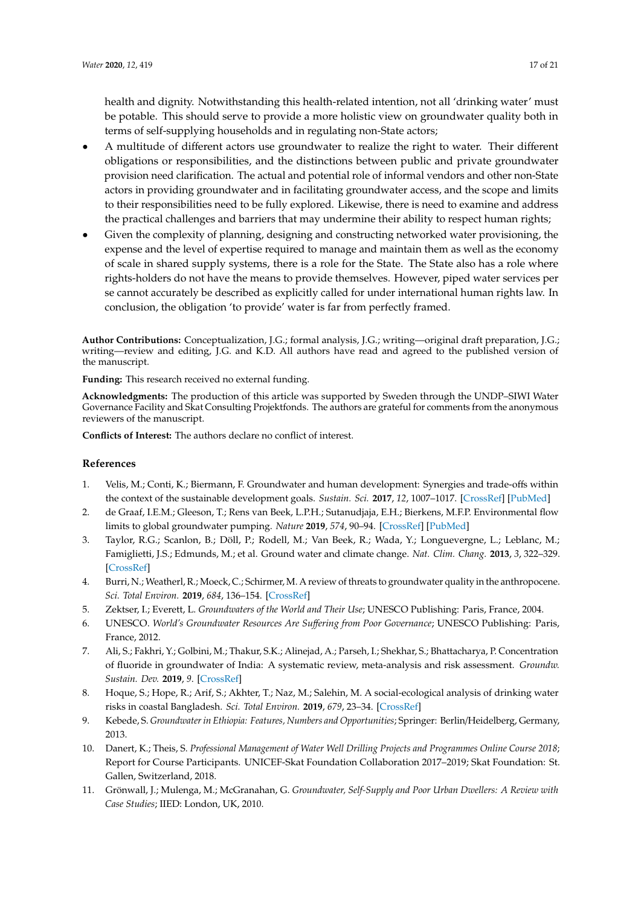health and dignity. Notwithstanding this health-related intention, not all 'drinking water' must be potable. This should serve to provide a more holistic view on groundwater quality both in terms of self-supplying households and in regulating non-State actors;

- A multitude of different actors use groundwater to realize the right to water. Their different obligations or responsibilities, and the distinctions between public and private groundwater provision need clarification. The actual and potential role of informal vendors and other non-State actors in providing groundwater and in facilitating groundwater access, and the scope and limits to their responsibilities need to be fully explored. Likewise, there is need to examine and address the practical challenges and barriers that may undermine their ability to respect human rights;
- Given the complexity of planning, designing and constructing networked water provisioning, the expense and the level of expertise required to manage and maintain them as well as the economy of scale in shared supply systems, there is a role for the State. The State also has a role where rights-holders do not have the means to provide themselves. However, piped water services per se cannot accurately be described as explicitly called for under international human rights law. In conclusion, the obligation 'to provide' water is far from perfectly framed.

**Author Contributions:** Conceptualization, J.G.; formal analysis, J.G.; writing—original draft preparation, J.G.; writing—review and editing, J.G. and K.D. All authors have read and agreed to the published version of the manuscript.

**Funding:** This research received no external funding.

**Acknowledgments:** The production of this article was supported by Sweden through the UNDP–SIWI Water Governance Facility and Skat Consulting Projektfonds. The authors are grateful for comments from the anonymous reviewers of the manuscript.

**Conflicts of Interest:** The authors declare no conflict of interest.

## **References**

- <span id="page-16-0"></span>1. Velis, M.; Conti, K.; Biermann, F. Groundwater and human development: Synergies and trade-offs within the context of the sustainable development goals. *Sustain. Sci.* **2017**, *12*, 1007–1017. [\[CrossRef\]](http://dx.doi.org/10.1007/s11625-017-0490-9) [\[PubMed\]](http://www.ncbi.nlm.nih.gov/pubmed/30147765)
- <span id="page-16-1"></span>2. de Graaf, I.E.M.; Gleeson, T.; Rens van Beek, L.P.H.; Sutanudjaja, E.H.; Bierkens, M.F.P. Environmental flow limits to global groundwater pumping. *Nature* **2019**, *574*, 90–94. [\[CrossRef\]](http://dx.doi.org/10.1038/s41586-019-1594-4) [\[PubMed\]](http://www.ncbi.nlm.nih.gov/pubmed/31578485)
- <span id="page-16-2"></span>3. Taylor, R.G.; Scanlon, B.; Döll, P.; Rodell, M.; Van Beek, R.; Wada, Y.; Longuevergne, L.; Leblanc, M.; Famiglietti, J.S.; Edmunds, M.; et al. Ground water and climate change. *Nat. Clim. Chang.* **2013**, *3*, 322–329. [\[CrossRef\]](http://dx.doi.org/10.1038/nclimate1744)
- <span id="page-16-3"></span>4. Burri, N.; Weatherl, R.; Moeck, C.; Schirmer, M. A review of threats to groundwater quality in the anthropocene. *Sci. Total Environ.* **2019**, *684*, 136–154. [\[CrossRef\]](http://dx.doi.org/10.1016/j.scitotenv.2019.05.236)
- <span id="page-16-4"></span>5. Zektser, I.; Everett, L. *Groundwaters of the World and Their Use*; UNESCO Publishing: Paris, France, 2004.
- <span id="page-16-5"></span>6. UNESCO. *World's Groundwater Resources Are Su*ff*ering from Poor Governance*; UNESCO Publishing: Paris, France, 2012.
- <span id="page-16-6"></span>7. Ali, S.; Fakhri, Y.; Golbini, M.; Thakur, S.K.; Alinejad, A.; Parseh, I.; Shekhar, S.; Bhattacharya, P. Concentration of fluoride in groundwater of India: A systematic review, meta-analysis and risk assessment. *Groundw. Sustain. Dev.* **2019**, *9*. [\[CrossRef\]](http://dx.doi.org/10.1016/j.gsd.2019.100224)
- <span id="page-16-7"></span>8. Hoque, S.; Hope, R.; Arif, S.; Akhter, T.; Naz, M.; Salehin, M. A social-ecological analysis of drinking water risks in coastal Bangladesh. *Sci. Total Environ.* **2019**, *679*, 23–34. [\[CrossRef\]](http://dx.doi.org/10.1016/j.scitotenv.2019.04.359)
- <span id="page-16-8"></span>9. Kebede, S. *Groundwater in Ethiopia: Features, Numbers and Opportunities*; Springer: Berlin/Heidelberg, Germany, 2013.
- <span id="page-16-10"></span>10. Danert, K.; Theis, S. *Professional Management of Water Well Drilling Projects and Programmes Online Course 2018*; Report for Course Participants. UNICEF-Skat Foundation Collaboration 2017–2019; Skat Foundation: St. Gallen, Switzerland, 2018.
- <span id="page-16-9"></span>11. Grönwall, J.; Mulenga, M.; McGranahan, G. *Groundwater, Self-Supply and Poor Urban Dwellers: A Review with Case Studies*; IIED: London, UK, 2010.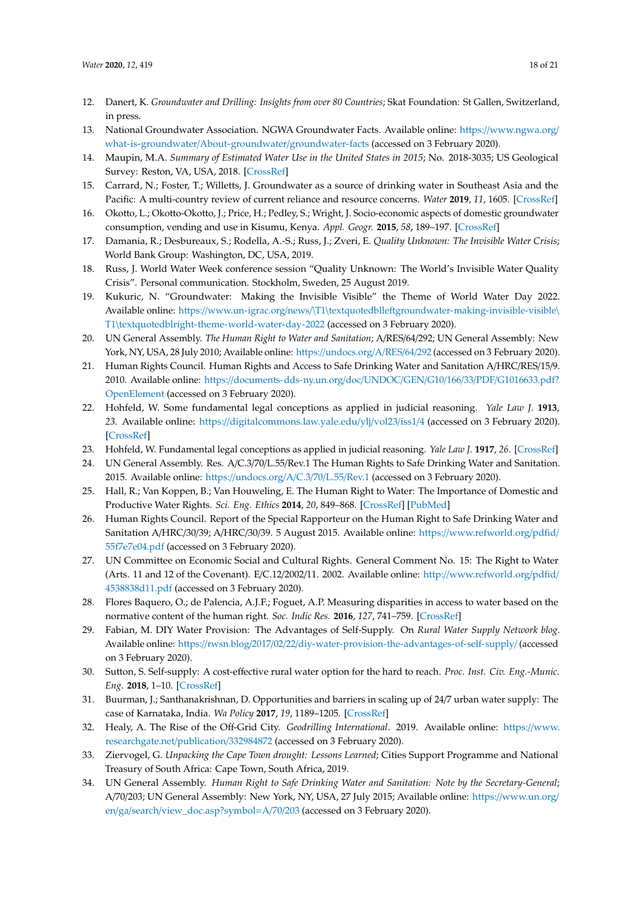- <span id="page-17-0"></span>12. Danert, K. *Groundwater and Drilling: Insights from over 80 Countries*; Skat Foundation: St Gallen, Switzerland, in press.
- <span id="page-17-1"></span>13. National Groundwater Association. NGWA Groundwater Facts. Available online: https://[www.ngwa.org](https://www.ngwa.org/what-is-groundwater/About-groundwater/groundwater-facts)/ [what-is-groundwater](https://www.ngwa.org/what-is-groundwater/About-groundwater/groundwater-facts)/About-groundwater/groundwater-facts (accessed on 3 February 2020).
- <span id="page-17-2"></span>14. Maupin, M.A. *Summary of Estimated Water Use in the United States in 2015*; No. 2018-3035; US Geological Survey: Reston, VA, USA, 2018. [\[CrossRef\]](http://dx.doi.org/10.3133/fs20183035)
- <span id="page-17-3"></span>15. Carrard, N.; Foster, T.; Willetts, J. Groundwater as a source of drinking water in Southeast Asia and the Pacific: A multi-country review of current reliance and resource concerns. *Water* **2019**, *11*, 1605. [\[CrossRef\]](http://dx.doi.org/10.3390/w11081605)
- <span id="page-17-4"></span>16. Okotto, L.; Okotto-Okotto, J.; Price, H.; Pedley, S.; Wright, J. Socio-economic aspects of domestic groundwater consumption, vending and use in Kisumu, Kenya. *Appl. Geogr.* **2015**, *58*, 189–197. [\[CrossRef\]](http://dx.doi.org/10.1016/j.apgeog.2015.02.009)
- <span id="page-17-5"></span>17. Damania, R.; Desbureaux, S.; Rodella, A.-S.; Russ, J.; Zveri, E. *Quality Unknown: The Invisible Water Crisis*; World Bank Group: Washington, DC, USA, 2019.
- <span id="page-17-6"></span>18. Russ, J. World Water Week conference session "Quality Unknown: The World's Invisible Water Quality Crisis". Personal communication. Stockholm, Sweden, 25 August 2019.
- <span id="page-17-7"></span>19. Kukuric, N. "Groundwater: Making the Invisible Visible" the Theme of World Water Day 2022. Available online: https://www.un-igrac.org/news/\T1\[textquotedblleftgroundwater-making-invisible-visible](https://www.un-igrac.org/news/\T1\textquotedblleft groundwater-making-invisible-visible\T1\textquotedblright -theme-world-water-day-2022)\ T1\[textquotedblright-theme-world-water-day-2022](https://www.un-igrac.org/news/\T1\textquotedblleft groundwater-making-invisible-visible\T1\textquotedblright -theme-world-water-day-2022) (accessed on 3 February 2020).
- <span id="page-17-8"></span>20. UN General Assembly. *The Human Right to Water and Sanitation*; A/RES/64/292; UN General Assembly: New York, NY, USA, 28 July 2010; Available online: https://[undocs.org](https://undocs.org/A/RES/64/292)/A/RES/64/292 (accessed on 3 February 2020).
- <span id="page-17-9"></span>21. Human Rights Council. Human Rights and Access to Safe Drinking Water and Sanitation A/HRC/RES/15/9. 2010. Available online: https://[documents-dds-ny.un.org](https://documents-dds-ny.un.org/doc/UNDOC/GEN/G10/166/33/PDF/G1016633.pdf?OpenElement)/doc/UNDOC/GEN/G10/166/33/PDF/G1016633.pdf? [OpenElement](https://documents-dds-ny.un.org/doc/UNDOC/GEN/G10/166/33/PDF/G1016633.pdf?OpenElement) (accessed on 3 February 2020).
- <span id="page-17-10"></span>22. Hohfeld, W. Some fundamental legal conceptions as applied in judicial reasoning. *Yale Law J.* **1913**, *23*. Available online: https://[digitalcommons.law.yale.edu](https://digitalcommons.law.yale.edu/ylj/vol23/iss1/4)/ylj/vol23/iss1/4 (accessed on 3 February 2020). [\[CrossRef\]](http://dx.doi.org/10.2307/785533)
- <span id="page-17-11"></span>23. Hohfeld, W. Fundamental legal conceptions as applied in judicial reasoning. *Yale Law J.* **1917**, *26*. [\[CrossRef\]](http://dx.doi.org/10.2307/786270)
- <span id="page-17-12"></span>24. UN General Assembly. Res. A/C.3/70/L.55/Rev.1 The Human Rights to Safe Drinking Water and Sanitation. 2015. Available online: https://[undocs.org](https://undocs.org/A/C.3/70/L.55/Rev.1)/A/C.3/70/L.55/Rev.1 (accessed on 3 February 2020).
- <span id="page-17-13"></span>25. Hall, R.; Van Koppen, B.; Van Houweling, E. The Human Right to Water: The Importance of Domestic and Productive Water Rights. *Sci. Eng. Ethics* **2014**, *20*, 849–868. [\[CrossRef\]](http://dx.doi.org/10.1007/s11948-013-9499-3) [\[PubMed\]](http://www.ncbi.nlm.nih.gov/pubmed/24337891)
- <span id="page-17-14"></span>26. Human Rights Council. Report of the Special Rapporteur on the Human Right to Safe Drinking Water and Sanitation A/HRC/30/39; A/HRC/30/39. 5 August 2015. Available online: https://[www.refworld.org](https://www.refworld.org/pdfid/55f7e7e04.pdf)/pdfid/ [55f7e7e04.pdf](https://www.refworld.org/pdfid/55f7e7e04.pdf) (accessed on 3 February 2020).
- <span id="page-17-15"></span>27. UN Committee on Economic Social and Cultural Rights. General Comment No. 15: The Right to Water (Arts. 11 and 12 of the Covenant). E/C.12/2002/11. 2002. Available online: http://[www.refworld.org](http://www.refworld.org/pdfid/4538838d11.pdf)/pdfid/ [4538838d11.pdf](http://www.refworld.org/pdfid/4538838d11.pdf) (accessed on 3 February 2020).
- <span id="page-17-16"></span>28. Flores Baquero, O.; de Palencia, A.J.F.; Foguet, A.P. Measuring disparities in access to water based on the normative content of the human right. *Soc. Indic Res.* **2016**, *127*, 741–759. [\[CrossRef\]](http://dx.doi.org/10.1007/s11205-015-0976-8)
- <span id="page-17-17"></span>29. Fabian, M. DIY Water Provision: The Advantages of Self-Supply. On *Rural Water Supply Network blog*. Available online: https://rwsn.blog/2017/02/22/[diy-water-provision-the-advantages-of-self-supply](https://rwsn.blog/2017/02/22/diy-water-provision-the-advantages-of-self-supply/)/ (accessed on 3 February 2020).
- <span id="page-17-18"></span>30. Sutton, S. Self-supply: A cost-effective rural water option for the hard to reach. *Proc. Inst. Civ. Eng.-Munic. Eng.* **2018**, 1–10. [\[CrossRef\]](http://dx.doi.org/10.1680/jmuen.17.00016)
- <span id="page-17-19"></span>31. Buurman, J.; Santhanakrishnan, D. Opportunities and barriers in scaling up of 24/7 urban water supply: The case of Karnataka, India. *Wa Policy* **2017**, *19*, 1189–1205. [\[CrossRef\]](http://dx.doi.org/10.2166/wp.2017.191)
- <span id="page-17-20"></span>32. Healy, A. The Rise of the Off-Grid City. *Geodrilling International*. 2019. Available online: https://[www.](https://www.researchgate.net/publication/332984872) [researchgate.net](https://www.researchgate.net/publication/332984872)/publication/332984872 (accessed on 3 February 2020).
- <span id="page-17-21"></span>33. Ziervogel, G. *Unpacking the Cape Town drought: Lessons Learned*; Cities Support Programme and National Treasury of South Africa: Cape Town, South Africa, 2019.
- <span id="page-17-22"></span>34. UN General Assembly. *Human Right to Safe Drinking Water and Sanitation: Note by the Secretary-General*; A/70/203; UN General Assembly: New York, NY, USA, 27 July 2015; Available online: https://[www.un.org](https://www.un.org/en/ga/search/view_doc.asp?symbol=A/70/203)/ en/ga/search/[view\\_doc.asp?symbol](https://www.un.org/en/ga/search/view_doc.asp?symbol=A/70/203)=A/70/203 (accessed on 3 February 2020).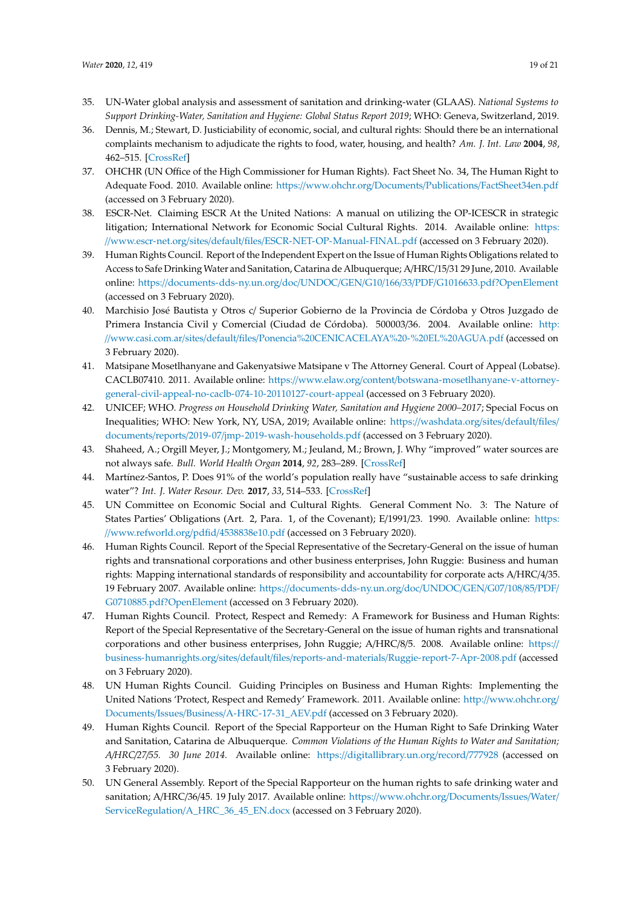- <span id="page-18-0"></span>35. UN-Water global analysis and assessment of sanitation and drinking-water (GLAAS). *National Systems to Support Drinking-Water, Sanitation and Hygiene: Global Status Report 2019*; WHO: Geneva, Switzerland, 2019.
- <span id="page-18-1"></span>36. Dennis, M.; Stewart, D. Justiciability of economic, social, and cultural rights: Should there be an international complaints mechanism to adjudicate the rights to food, water, housing, and health? *Am. J. Int. Law* **2004**, *98*, 462–515. [\[CrossRef\]](http://dx.doi.org/10.2307/3181641)
- <span id="page-18-2"></span>37. OHCHR (UN Office of the High Commissioner for Human Rights). Fact Sheet No. 34, The Human Right to Adequate Food. 2010. Available online: https://www.ohchr.org/Documents/Publications/[FactSheet34en.pdf](https://www.ohchr.org/Documents/Publications/FactSheet34en.pdf) (accessed on 3 February 2020).
- <span id="page-18-3"></span>38. ESCR-Net. Claiming ESCR At the United Nations: A manual on utilizing the OP-ICESCR in strategic litigation; International Network for Economic Social Cultural Rights. 2014. Available online: [https:](https://www.escr-net.org/sites/default/files/ESCR-NET-OP-Manual-FINAL.pdf) //www.escr-net.org/sites/default/files/[ESCR-NET-OP-Manual-FINAL.pdf](https://www.escr-net.org/sites/default/files/ESCR-NET-OP-Manual-FINAL.pdf) (accessed on 3 February 2020).
- <span id="page-18-4"></span>39. Human Rights Council. Report of the Independent Expert on the Issue of Human Rights Obligations related to Access to Safe Drinking Water and Sanitation, Catarina de Albuquerque; A/HRC/15/31 29 June, 2010. Available online: https://documents-dds-ny.un.org/doc/UNDOC/GEN/G10/166/33/PDF/[G1016633.pdf?OpenElement](https://documents-dds-ny.un.org/doc/UNDOC/GEN/G10/166/33/PDF/G1016633.pdf?OpenElement) (accessed on 3 February 2020).
- <span id="page-18-5"></span>40. Marchisio José Bautista y Otros c/ Superior Gobierno de la Provincia de Córdoba y Otros Juzgado de Primera Instancia Civil y Comercial (Ciudad de Córdoba). 500003/36. 2004. Available online: [http:](http://www.casi.com.ar/sites/default/files/Ponencia%20CENICACELAYA%20-%20EL%20AGUA.pdf) //www.casi.com.ar/sites/default/files/[Ponencia%20CENICACELAYA%20-%20EL%20AGUA.pdf](http://www.casi.com.ar/sites/default/files/Ponencia%20CENICACELAYA%20-%20EL%20AGUA.pdf) (accessed on 3 February 2020).
- <span id="page-18-6"></span>41. Matsipane Mosetlhanyane and Gakenyatsiwe Matsipane v The Attorney General. Court of Appeal (Lobatse). CACLB07410. 2011. Available online: https://www.elaw.org/content/[botswana-mosetlhanyane-v-attorney](https://www.elaw.org/content/botswana-mosetlhanyane-v-attorney-general-civil-appeal-no-caclb-074-10-20110127-court-appeal)[general-civil-appeal-no-caclb-074-10-20110127-court-appeal](https://www.elaw.org/content/botswana-mosetlhanyane-v-attorney-general-civil-appeal-no-caclb-074-10-20110127-court-appeal) (accessed on 3 February 2020).
- <span id="page-18-7"></span>42. UNICEF; WHO. *Progress on Household Drinking Water, Sanitation and Hygiene 2000–2017*; Special Focus on Inequalities; WHO: New York, NY, USA, 2019; Available online: https://[washdata.org](https://washdata.org/sites/default/files/documents/reports/2019-07/jmp-2019-wash-households.pdf)/sites/default/files/ documents/reports/2019-07/[jmp-2019-wash-households.pdf](https://washdata.org/sites/default/files/documents/reports/2019-07/jmp-2019-wash-households.pdf) (accessed on 3 February 2020).
- <span id="page-18-8"></span>43. Shaheed, A.; Orgill Meyer, J.; Montgomery, M.; Jeuland, M.; Brown, J. Why "improved" water sources are not always safe. *Bull. World Health Organ* **2014**, *92*, 283–289. [\[CrossRef\]](http://dx.doi.org/10.2471/BLT.13.119594)
- <span id="page-18-9"></span>44. Martínez-Santos, P. Does 91% of the world's population really have "sustainable access to safe drinking water"? *Int. J. Water Resour. Dev.* **2017**, *33*, 514–533. [\[CrossRef\]](http://dx.doi.org/10.1080/07900627.2017.1298517)
- <span id="page-18-10"></span>45. UN Committee on Economic Social and Cultural Rights. General Comment No. 3: The Nature of States Parties' Obligations (Art. 2, Para. 1, of the Covenant); E/1991/23. 1990. Available online: [https:](https://www.refworld.org/pdfid/4538838e10.pdf) //[www.refworld.org](https://www.refworld.org/pdfid/4538838e10.pdf)/pdfid/4538838e10.pdf (accessed on 3 February 2020).
- <span id="page-18-11"></span>46. Human Rights Council. Report of the Special Representative of the Secretary-General on the issue of human rights and transnational corporations and other business enterprises, John Ruggie: Business and human rights: Mapping international standards of responsibility and accountability for corporate acts A/HRC/4/35. 19 February 2007. Available online: https://[documents-dds-ny.un.org](https://documents-dds-ny.un.org/doc/UNDOC/GEN/G07/108/85/PDF/G0710885.pdf?OpenElement)/doc/UNDOC/GEN/G07/108/85/PDF/ [G0710885.pdf?OpenElement](https://documents-dds-ny.un.org/doc/UNDOC/GEN/G07/108/85/PDF/G0710885.pdf?OpenElement) (accessed on 3 February 2020).
- <span id="page-18-12"></span>47. Human Rights Council. Protect, Respect and Remedy: A Framework for Business and Human Rights: Report of the Special Representative of the Secretary-General on the issue of human rights and transnational corporations and other business enterprises, John Ruggie; A/HRC/8/5. 2008. Available online: [https:](https://business-humanrights.org/sites/default/files/reports-and-materials/Ruggie-report-7-Apr-2008.pdf)// business-humanrights.org/sites/default/files/reports-and-materials/[Ruggie-report-7-Apr-2008.pdf](https://business-humanrights.org/sites/default/files/reports-and-materials/Ruggie-report-7-Apr-2008.pdf) (accessed on 3 February 2020).
- <span id="page-18-13"></span>48. UN Human Rights Council. Guiding Principles on Business and Human Rights: Implementing the United Nations 'Protect, Respect and Remedy' Framework. 2011. Available online: http://[www.ohchr.org](http://www.ohchr.org/Documents/Issues/Business/A-HRC-17-31_AEV.pdf)/ Documents/Issues/Business/[A-HRC-17-31\\_AEV.pdf](http://www.ohchr.org/Documents/Issues/Business/A-HRC-17-31_AEV.pdf) (accessed on 3 February 2020).
- <span id="page-18-14"></span>49. Human Rights Council. Report of the Special Rapporteur on the Human Right to Safe Drinking Water and Sanitation, Catarina de Albuquerque. *Common Violations of the Human Rights to Water and Sanitation; A*/*HRC*/*27*/*55. 30 June 2014.* Available online: https://[digitallibrary.un.org](https://digitallibrary.un.org/record/777928)/record/777928 (accessed on 3 February 2020).
- <span id="page-18-15"></span>50. UN General Assembly. Report of the Special Rapporteur on the human rights to safe drinking water and sanitation; A/HRC/36/45. 19 July 2017. Available online: https://[www.ohchr.org](https://www.ohchr.org/Documents/Issues/Water/ServiceRegulation/A_HRC_36_45_EN.docx)/Documents/Issues/Water/ ServiceRegulation/[A\\_HRC\\_36\\_45\\_EN.docx](https://www.ohchr.org/Documents/Issues/Water/ServiceRegulation/A_HRC_36_45_EN.docx) (accessed on 3 February 2020).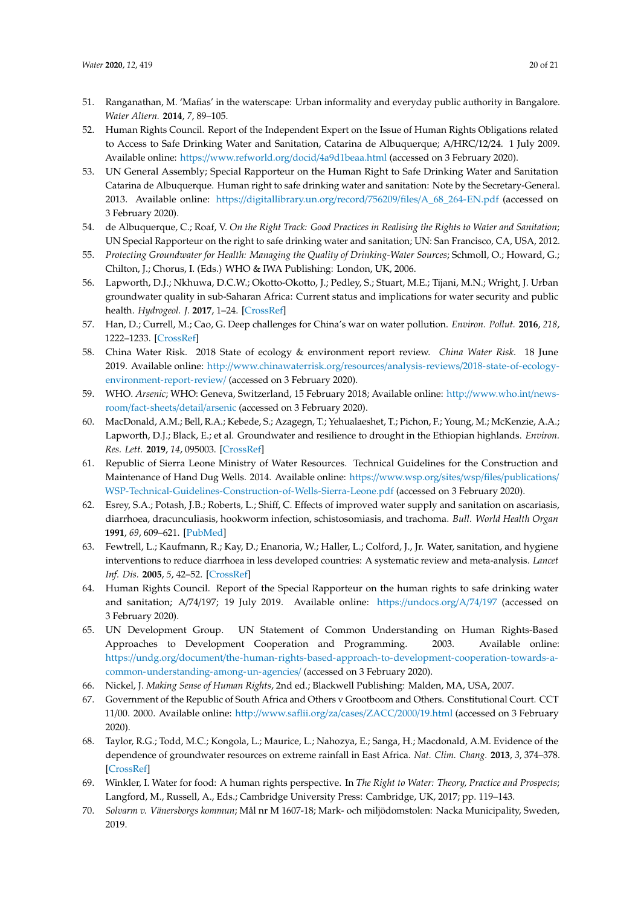- <span id="page-19-0"></span>51. Ranganathan, M. 'Mafias' in the waterscape: Urban informality and everyday public authority in Bangalore. *Water Altern.* **2014**, *7*, 89–105.
- <span id="page-19-1"></span>52. Human Rights Council. Report of the Independent Expert on the Issue of Human Rights Obligations related to Access to Safe Drinking Water and Sanitation, Catarina de Albuquerque; A/HRC/12/24. 1 July 2009. Available online: https://[www.refworld.org](https://www.refworld.org/docid/4a9d1beaa.html)/docid/4a9d1beaa.html (accessed on 3 February 2020).
- <span id="page-19-2"></span>53. UN General Assembly; Special Rapporteur on the Human Right to Safe Drinking Water and Sanitation Catarina de Albuquerque. Human right to safe drinking water and sanitation: Note by the Secretary-General. 2013. Available online: https://[digitallibrary.un.org](https://digitallibrary.un.org/record/756209/files/A_68_264-EN.pdf)/record/756209/files/A\_68\_264-EN.pdf (accessed on 3 February 2020).
- <span id="page-19-3"></span>54. de Albuquerque, C.; Roaf, V. *On the Right Track: Good Practices in Realising the Rights to Water and Sanitation*; UN Special Rapporteur on the right to safe drinking water and sanitation; UN: San Francisco, CA, USA, 2012.
- <span id="page-19-4"></span>55. *Protecting Groundwater for Health: Managing the Quality of Drinking-Water Sources*; Schmoll, O.; Howard, G.; Chilton, J.; Chorus, I. (Eds.) WHO & IWA Publishing: London, UK, 2006.
- <span id="page-19-5"></span>56. Lapworth, D.J.; Nkhuwa, D.C.W.; Okotto-Okotto, J.; Pedley, S.; Stuart, M.E.; Tijani, M.N.; Wright, J. Urban groundwater quality in sub-Saharan Africa: Current status and implications for water security and public health. *Hydrogeol. J.* **2017**, 1–24. [\[CrossRef\]](http://dx.doi.org/10.1007/s10040-016-1516-6)
- <span id="page-19-6"></span>57. Han, D.; Currell, M.; Cao, G. Deep challenges for China's war on water pollution. *Environ. Pollut.* **2016**, *218*, 1222–1233. [\[CrossRef\]](http://dx.doi.org/10.1016/j.envpol.2016.08.078)
- <span id="page-19-7"></span>58. China Water Risk. 2018 State of ecology & environment report review. *China Water Risk*. 18 June 2019. Available online: http://[www.chinawaterrisk.org](http://www.chinawaterrisk.org/resources/analysis-reviews/2018-state-of-ecology-environment-report-review/)/resources/analysis-reviews/2018-state-of-ecology[environment-report-review](http://www.chinawaterrisk.org/resources/analysis-reviews/2018-state-of-ecology-environment-report-review/)/ (accessed on 3 February 2020).
- <span id="page-19-8"></span>59. WHO. *Arsenic*; WHO: Geneva, Switzerland, 15 February 2018; Available online: http://[www.who.int](http://www.who.int/news-room/fact-sheets/detail/arsenic)/newsroom/[fact-sheets](http://www.who.int/news-room/fact-sheets/detail/arsenic)/detail/arsenic (accessed on 3 February 2020).
- <span id="page-19-9"></span>60. MacDonald, A.M.; Bell, R.A.; Kebede, S.; Azagegn, T.; Yehualaeshet, T.; Pichon, F.; Young, M.; McKenzie, A.A.; Lapworth, D.J.; Black, E.; et al. Groundwater and resilience to drought in the Ethiopian highlands. *Environ. Res. Lett.* **2019**, *14*, 095003. [\[CrossRef\]](http://dx.doi.org/10.1088/1748-9326/ab282f)
- <span id="page-19-10"></span>61. Republic of Sierra Leone Ministry of Water Resources. Technical Guidelines for the Construction and Maintenance of Hand Dug Wells. 2014. Available online: https://[www.wsp.org](https://www.wsp.org/sites/wsp/files/publications/WSP-Technical-Guidelines-Construction-of-Wells-Sierra-Leone.pdf)/sites/wsp/files/publications/ [WSP-Technical-Guidelines-Construction-of-Wells-Sierra-Leone.pdf](https://www.wsp.org/sites/wsp/files/publications/WSP-Technical-Guidelines-Construction-of-Wells-Sierra-Leone.pdf) (accessed on 3 February 2020).
- <span id="page-19-11"></span>62. Esrey, S.A.; Potash, J.B.; Roberts, L.; Shiff, C. Effects of improved water supply and sanitation on ascariasis, diarrhoea, dracunculiasis, hookworm infection, schistosomiasis, and trachoma. *Bull. World Health Organ* **1991**, *69*, 609–621. [\[PubMed\]](http://www.ncbi.nlm.nih.gov/pubmed/1835675)
- <span id="page-19-12"></span>63. Fewtrell, L.; Kaufmann, R.; Kay, D.; Enanoria, W.; Haller, L.; Colford, J., Jr. Water, sanitation, and hygiene interventions to reduce diarrhoea in less developed countries: A systematic review and meta-analysis. *Lancet Inf. Dis.* **2005**, *5*, 42–52. [\[CrossRef\]](http://dx.doi.org/10.1016/S1473-3099(04)01253-8)
- <span id="page-19-13"></span>64. Human Rights Council. Report of the Special Rapporteur on the human rights to safe drinking water and sanitation; A/74/197; 19 July 2019. Available online: https://[undocs.org](https://undocs.org/A/74/197)/A/74/197 (accessed on 3 February 2020).
- <span id="page-19-14"></span>65. UN Development Group. UN Statement of Common Understanding on Human Rights-Based Approaches to Development Cooperation and Programming. 2003. Available online: https://undg.org/document/[the-human-rights-based-approach-to-development-cooperation-towards-a](https://undg.org/document/the-human-rights-based-approach-to-development-cooperation-towards-a-common-understanding-among-un-agencies/)[common-understanding-among-un-agencies](https://undg.org/document/the-human-rights-based-approach-to-development-cooperation-towards-a-common-understanding-among-un-agencies/)/ (accessed on 3 February 2020).
- <span id="page-19-15"></span>66. Nickel, J. *Making Sense of Human Rights*, 2nd ed.; Blackwell Publishing: Malden, MA, USA, 2007.
- <span id="page-19-16"></span>67. Government of the Republic of South Africa and Others v Grootboom and Others. Constitutional Court. CCT 11/00. 2000. Available online: http://[www.saflii.org](http://www.saflii.org/za/cases/ZACC/2000/19.html)/za/cases/ZACC/2000/19.html (accessed on 3 February 2020).
- <span id="page-19-17"></span>68. Taylor, R.G.; Todd, M.C.; Kongola, L.; Maurice, L.; Nahozya, E.; Sanga, H.; Macdonald, A.M. Evidence of the dependence of groundwater resources on extreme rainfall in East Africa. *Nat. Clim. Chang.* **2013**, *3*, 374–378. [\[CrossRef\]](http://dx.doi.org/10.1038/nclimate1731)
- <span id="page-19-18"></span>69. Winkler, I. Water for food: A human rights perspective. In *The Right to Water: Theory, Practice and Prospects*; Langford, M., Russell, A., Eds.; Cambridge University Press: Cambridge, UK, 2017; pp. 119–143.
- <span id="page-19-19"></span>70. *Solvarm v. Vänersborgs kommun*; Mål nr M 1607-18; Mark- och miljödomstolen: Nacka Municipality, Sweden, 2019.